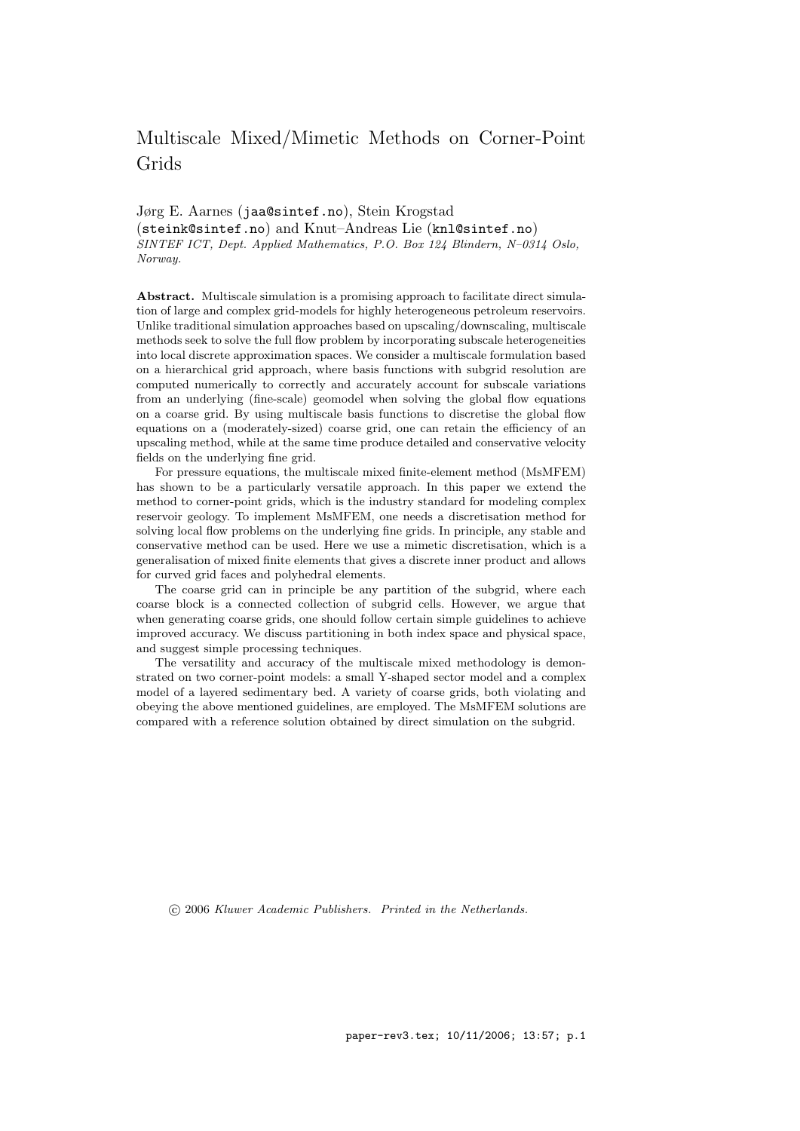# Multiscale Mixed/Mimetic Methods on Corner-Point Grids

Jørg E. Aarnes (jaa@sintef.no), Stein Krogstad (steink@sintef.no) and Knut–Andreas Lie (knl@sintef.no) SINTEF ICT, Dept. Applied Mathematics, P.O. Box 124 Blindern, N–0314 Oslo, Norway.

Abstract. Multiscale simulation is a promising approach to facilitate direct simulation of large and complex grid-models for highly heterogeneous petroleum reservoirs. Unlike traditional simulation approaches based on upscaling/downscaling, multiscale methods seek to solve the full flow problem by incorporating subscale heterogeneities into local discrete approximation spaces. We consider a multiscale formulation based on a hierarchical grid approach, where basis functions with subgrid resolution are computed numerically to correctly and accurately account for subscale variations from an underlying (fine-scale) geomodel when solving the global flow equations on a coarse grid. By using multiscale basis functions to discretise the global flow equations on a (moderately-sized) coarse grid, one can retain the efficiency of an upscaling method, while at the same time produce detailed and conservative velocity fields on the underlying fine grid.

For pressure equations, the multiscale mixed finite-element method (MsMFEM) has shown to be a particularly versatile approach. In this paper we extend the method to corner-point grids, which is the industry standard for modeling complex reservoir geology. To implement MsMFEM, one needs a discretisation method for solving local flow problems on the underlying fine grids. In principle, any stable and conservative method can be used. Here we use a mimetic discretisation, which is a generalisation of mixed finite elements that gives a discrete inner product and allows for curved grid faces and polyhedral elements.

The coarse grid can in principle be any partition of the subgrid, where each coarse block is a connected collection of subgrid cells. However, we argue that when generating coarse grids, one should follow certain simple guidelines to achieve improved accuracy. We discuss partitioning in both index space and physical space, and suggest simple processing techniques.

The versatility and accuracy of the multiscale mixed methodology is demonstrated on two corner-point models: a small Y-shaped sector model and a complex model of a layered sedimentary bed. A variety of coarse grids, both violating and obeying the above mentioned guidelines, are employed. The MsMFEM solutions are compared with a reference solution obtained by direct simulation on the subgrid.

c 2006 Kluwer Academic Publishers. Printed in the Netherlands.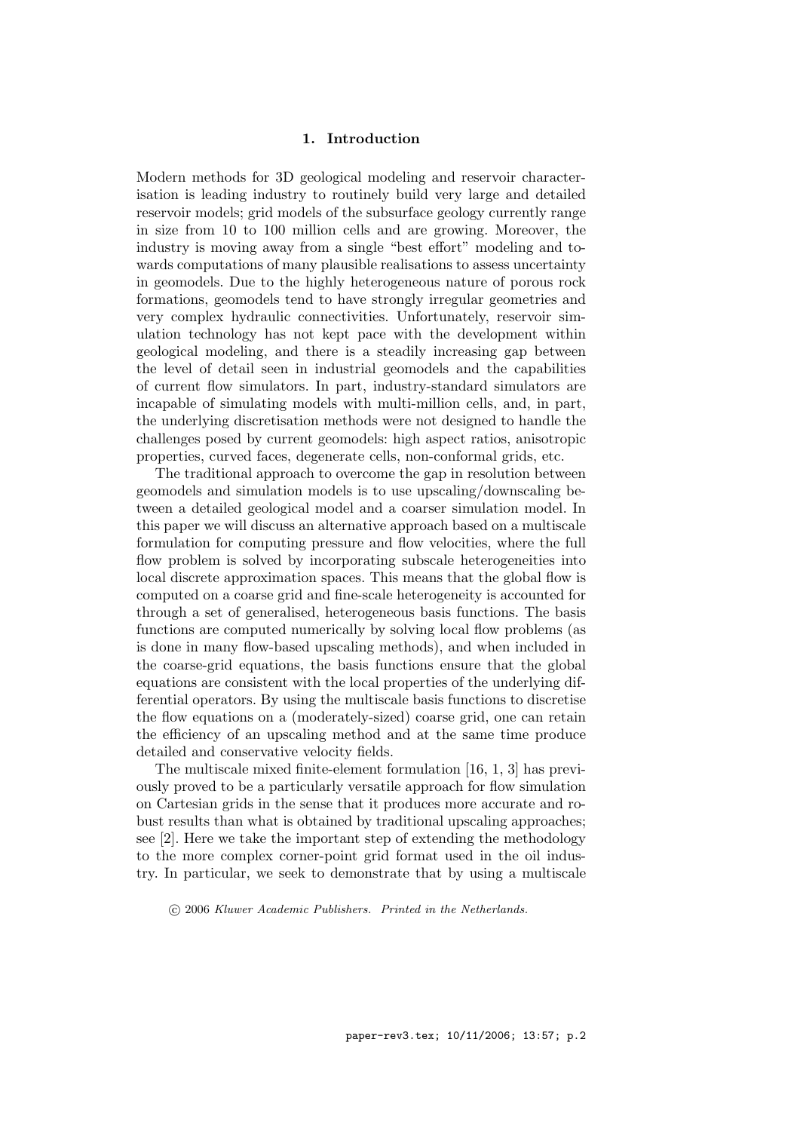# 1. Introduction

Modern methods for 3D geological modeling and reservoir characterisation is leading industry to routinely build very large and detailed reservoir models; grid models of the subsurface geology currently range in size from 10 to 100 million cells and are growing. Moreover, the industry is moving away from a single "best effort" modeling and towards computations of many plausible realisations to assess uncertainty in geomodels. Due to the highly heterogeneous nature of porous rock formations, geomodels tend to have strongly irregular geometries and very complex hydraulic connectivities. Unfortunately, reservoir simulation technology has not kept pace with the development within geological modeling, and there is a steadily increasing gap between the level of detail seen in industrial geomodels and the capabilities of current flow simulators. In part, industry-standard simulators are incapable of simulating models with multi-million cells, and, in part, the underlying discretisation methods were not designed to handle the challenges posed by current geomodels: high aspect ratios, anisotropic properties, curved faces, degenerate cells, non-conformal grids, etc.

The traditional approach to overcome the gap in resolution between geomodels and simulation models is to use upscaling/downscaling between a detailed geological model and a coarser simulation model. In this paper we will discuss an alternative approach based on a multiscale formulation for computing pressure and flow velocities, where the full flow problem is solved by incorporating subscale heterogeneities into local discrete approximation spaces. This means that the global flow is computed on a coarse grid and fine-scale heterogeneity is accounted for through a set of generalised, heterogeneous basis functions. The basis functions are computed numerically by solving local flow problems (as is done in many flow-based upscaling methods), and when included in the coarse-grid equations, the basis functions ensure that the global equations are consistent with the local properties of the underlying differential operators. By using the multiscale basis functions to discretise the flow equations on a (moderately-sized) coarse grid, one can retain the efficiency of an upscaling method and at the same time produce detailed and conservative velocity fields.

The multiscale mixed finite-element formulation [16, 1, 3] has previously proved to be a particularly versatile approach for flow simulation on Cartesian grids in the sense that it produces more accurate and robust results than what is obtained by traditional upscaling approaches; see [2]. Here we take the important step of extending the methodology to the more complex corner-point grid format used in the oil industry. In particular, we seek to demonstrate that by using a multiscale

c 2006 Kluwer Academic Publishers. Printed in the Netherlands.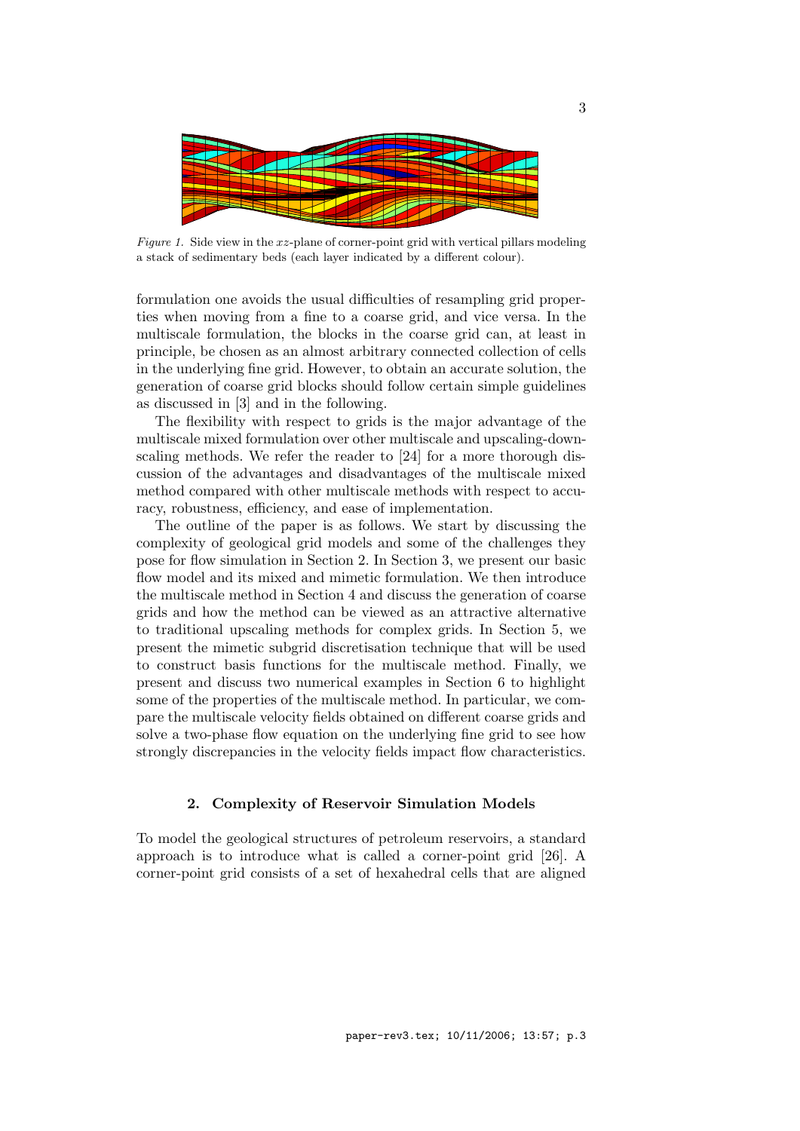

Figure 1. Side view in the  $xz$ -plane of corner-point grid with vertical pillars modeling a stack of sedimentary beds (each layer indicated by a different colour).

formulation one avoids the usual difficulties of resampling grid properties when moving from a fine to a coarse grid, and vice versa. In the multiscale formulation, the blocks in the coarse grid can, at least in principle, be chosen as an almost arbitrary connected collection of cells in the underlying fine grid. However, to obtain an accurate solution, the generation of coarse grid blocks should follow certain simple guidelines as discussed in [3] and in the following.

The flexibility with respect to grids is the major advantage of the multiscale mixed formulation over other multiscale and upscaling-downscaling methods. We refer the reader to [24] for a more thorough discussion of the advantages and disadvantages of the multiscale mixed method compared with other multiscale methods with respect to accuracy, robustness, efficiency, and ease of implementation.

The outline of the paper is as follows. We start by discussing the complexity of geological grid models and some of the challenges they pose for flow simulation in Section 2. In Section 3, we present our basic flow model and its mixed and mimetic formulation. We then introduce the multiscale method in Section 4 and discuss the generation of coarse grids and how the method can be viewed as an attractive alternative to traditional upscaling methods for complex grids. In Section 5, we present the mimetic subgrid discretisation technique that will be used to construct basis functions for the multiscale method. Finally, we present and discuss two numerical examples in Section 6 to highlight some of the properties of the multiscale method. In particular, we compare the multiscale velocity fields obtained on different coarse grids and solve a two-phase flow equation on the underlying fine grid to see how strongly discrepancies in the velocity fields impact flow characteristics.

# 2. Complexity of Reservoir Simulation Models

To model the geological structures of petroleum reservoirs, a standard approach is to introduce what is called a corner-point grid [26]. A corner-point grid consists of a set of hexahedral cells that are aligned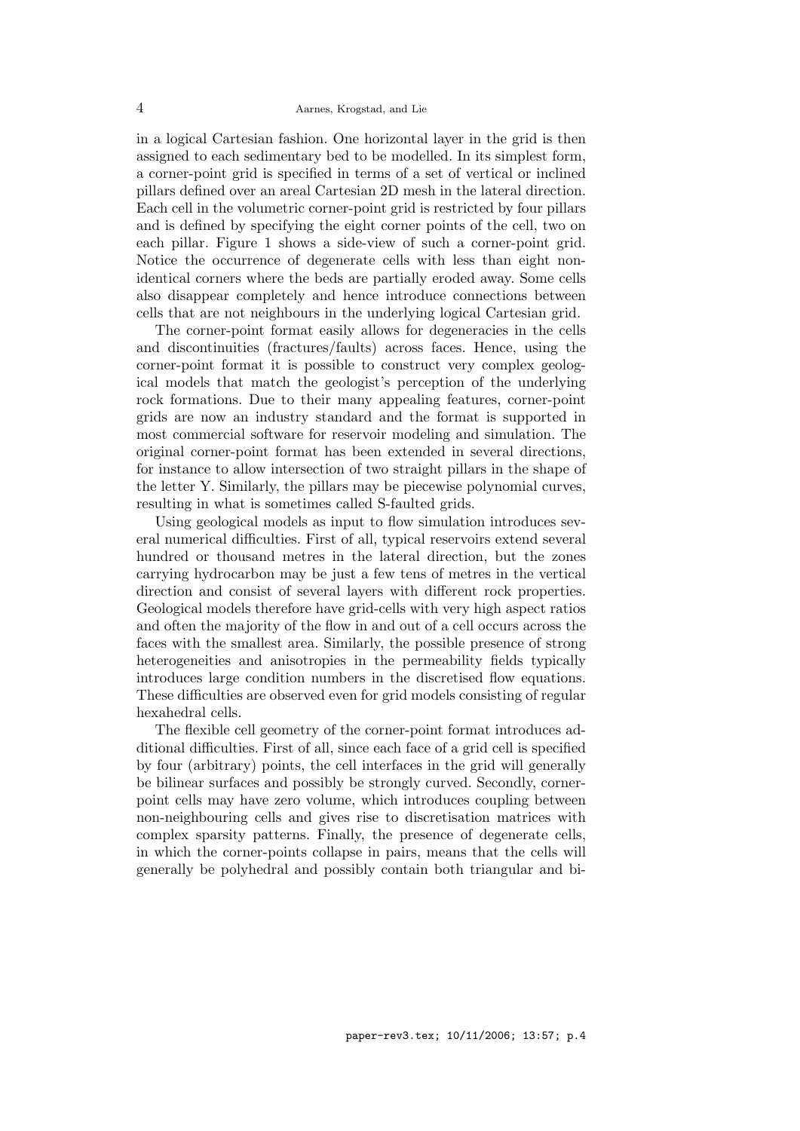in a logical Cartesian fashion. One horizontal layer in the grid is then assigned to each sedimentary bed to be modelled. In its simplest form, a corner-point grid is specified in terms of a set of vertical or inclined pillars defined over an areal Cartesian 2D mesh in the lateral direction. Each cell in the volumetric corner-point grid is restricted by four pillars and is defined by specifying the eight corner points of the cell, two on each pillar. Figure 1 shows a side-view of such a corner-point grid. Notice the occurrence of degenerate cells with less than eight nonidentical corners where the beds are partially eroded away. Some cells also disappear completely and hence introduce connections between cells that are not neighbours in the underlying logical Cartesian grid.

The corner-point format easily allows for degeneracies in the cells and discontinuities (fractures/faults) across faces. Hence, using the corner-point format it is possible to construct very complex geological models that match the geologist's perception of the underlying rock formations. Due to their many appealing features, corner-point grids are now an industry standard and the format is supported in most commercial software for reservoir modeling and simulation. The original corner-point format has been extended in several directions, for instance to allow intersection of two straight pillars in the shape of the letter Y. Similarly, the pillars may be piecewise polynomial curves, resulting in what is sometimes called S-faulted grids.

Using geological models as input to flow simulation introduces several numerical difficulties. First of all, typical reservoirs extend several hundred or thousand metres in the lateral direction, but the zones carrying hydrocarbon may be just a few tens of metres in the vertical direction and consist of several layers with different rock properties. Geological models therefore have grid-cells with very high aspect ratios and often the majority of the flow in and out of a cell occurs across the faces with the smallest area. Similarly, the possible presence of strong heterogeneities and anisotropies in the permeability fields typically introduces large condition numbers in the discretised flow equations. These difficulties are observed even for grid models consisting of regular hexahedral cells.

The flexible cell geometry of the corner-point format introduces additional difficulties. First of all, since each face of a grid cell is specified by four (arbitrary) points, the cell interfaces in the grid will generally be bilinear surfaces and possibly be strongly curved. Secondly, cornerpoint cells may have zero volume, which introduces coupling between non-neighbouring cells and gives rise to discretisation matrices with complex sparsity patterns. Finally, the presence of degenerate cells, in which the corner-points collapse in pairs, means that the cells will generally be polyhedral and possibly contain both triangular and bi-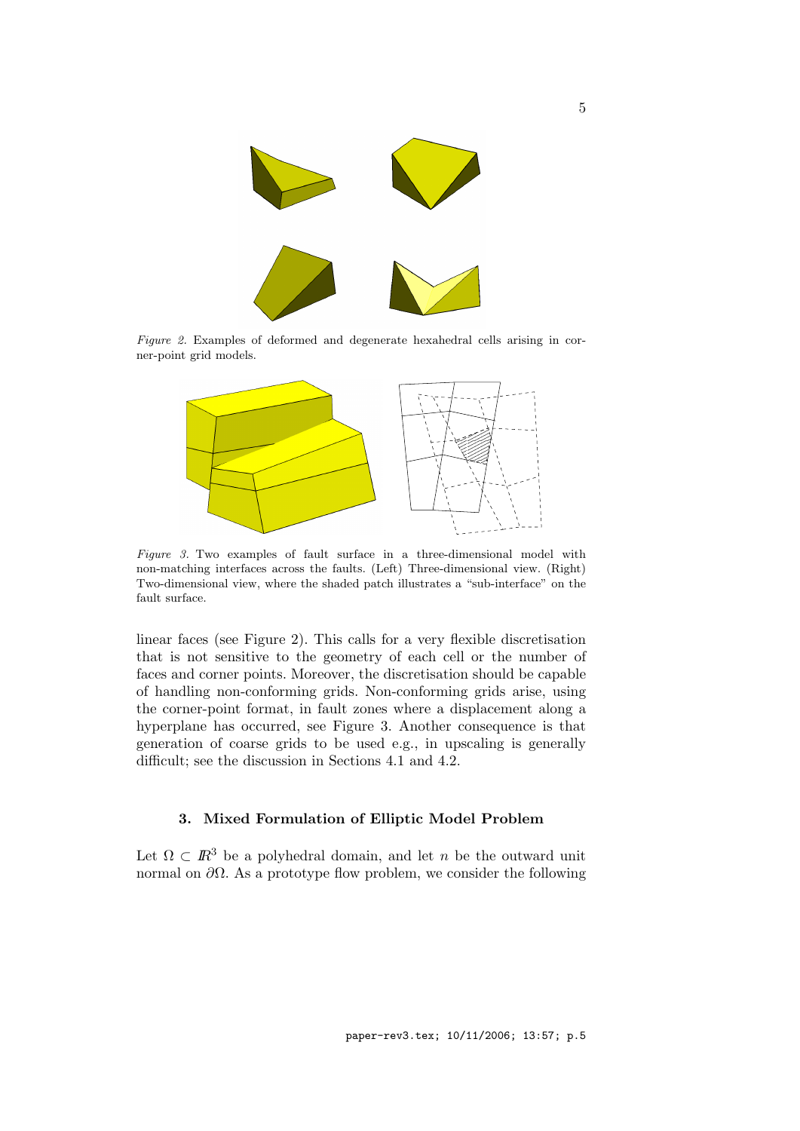

Figure 2. Examples of deformed and degenerate hexahedral cells arising in corner-point grid models.



Figure 3. Two examples of fault surface in a three-dimensional model with non-matching interfaces across the faults. (Left) Three-dimensional view. (Right) Two-dimensional view, where the shaded patch illustrates a "sub-interface" on the fault surface.

linear faces (see Figure 2). This calls for a very flexible discretisation that is not sensitive to the geometry of each cell or the number of faces and corner points. Moreover, the discretisation should be capable of handling non-conforming grids. Non-conforming grids arise, using the corner-point format, in fault zones where a displacement along a hyperplane has occurred, see Figure 3. Another consequence is that generation of coarse grids to be used e.g., in upscaling is generally difficult; see the discussion in Sections 4.1 and 4.2.

# 3. Mixed Formulation of Elliptic Model Problem

Let  $\Omega \subset \mathbb{R}^3$  be a polyhedral domain, and let n be the outward unit normal on  $\partial Ω$ . As a prototype flow problem, we consider the following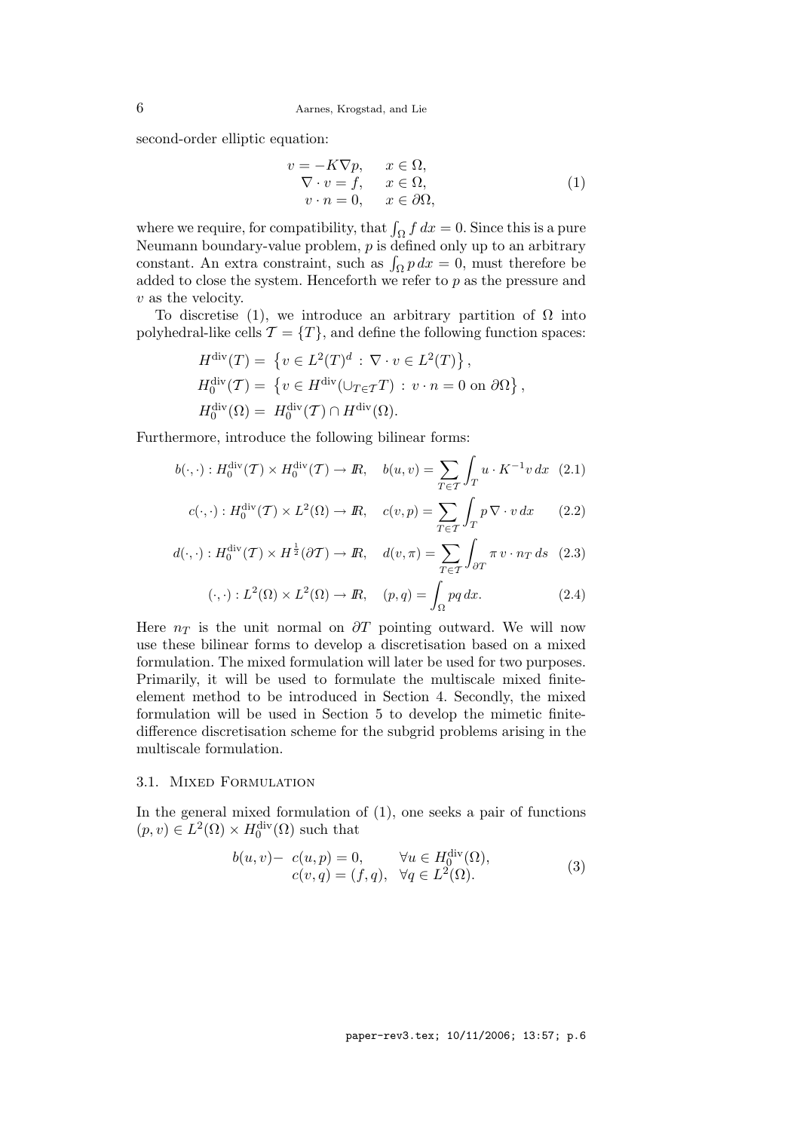second-order elliptic equation:

$$
v = -K\nabla p, \t x \in \Omega,\n\nabla \cdot v = f, \t x \in \Omega,\nv \cdot n = 0, \t x \in \partial\Omega,
$$
\n(1)

where we require, for compatibility, that  $\int_{\Omega} f dx = 0$ . Since this is a pure Neumann boundary-value problem,  $p$  is defined only up to an arbitrary constant. An extra constraint, such as  $\int_{\Omega} p \, dx = 0$ , must therefore be added to close the system. Henceforth we refer to  $p$  as the pressure and v as the velocity.

To discretise (1), we introduce an arbitrary partition of  $\Omega$  into polyhedral-like cells  $\mathcal{T} = \{T\}$ , and define the following function spaces:

$$
H^{\text{div}}(T) = \{ v \in L^2(T)^d : \nabla \cdot v \in L^2(T) \},
$$
  
\n
$$
H_0^{\text{div}}(T) = \{ v \in H^{\text{div}}(\cup_{T \in T} T) : v \cdot n = 0 \text{ on } \partial \Omega \},
$$
  
\n
$$
H_0^{\text{div}}(\Omega) = H_0^{\text{div}}(T) \cap H^{\text{div}}(\Omega).
$$

Furthermore, introduce the following bilinear forms:

$$
b(\cdot, \cdot) : H_0^{\text{div}}(\mathcal{T}) \times H_0^{\text{div}}(\mathcal{T}) \to \mathbb{R}, \quad b(u, v) = \sum_{T \in \mathcal{T}} \int_T u \cdot K^{-1} v \, dx \tag{2.1}
$$

$$
c(\cdot, \cdot): H_0^{\text{div}}(\mathcal{T}) \times L^2(\Omega) \to \mathbb{R}, \quad c(v, p) = \sum_{T \in \mathcal{T}} \int_{T} p \, \nabla \cdot v \, dx \qquad (2.2)
$$

$$
d(\cdot, \cdot) : H_0^{\text{div}}(\mathcal{T}) \times H^{\frac{1}{2}}(\partial \mathcal{T}) \to \mathbb{R}, \quad d(v, \pi) = \sum_{T \in \mathcal{T}} \int_{\partial T} \pi \, v \cdot n_T \, ds \quad (2.3)
$$

$$
(\cdot, \cdot) : L^2(\Omega) \times L^2(\Omega) \to \mathbb{R}, \quad (p, q) = \int_{\Omega} pq \, dx. \tag{2.4}
$$

Here  $n_T$  is the unit normal on  $\partial T$  pointing outward. We will now use these bilinear forms to develop a discretisation based on a mixed formulation. The mixed formulation will later be used for two purposes. Primarily, it will be used to formulate the multiscale mixed finiteelement method to be introduced in Section 4. Secondly, the mixed formulation will be used in Section 5 to develop the mimetic finitedifference discretisation scheme for the subgrid problems arising in the multiscale formulation.

#### 3.1. MIXED FORMULATION

In the general mixed formulation of  $(1)$ , one seeks a pair of functions  $(p, v) \in L^2(\Omega) \times H_0^{\text{div}}(\Omega)$  such that

$$
b(u, v) - c(u, p) = 0, \qquad \forall u \in H_0^{\text{div}}(\Omega),
$$
  
\n
$$
c(v, q) = (f, q), \quad \forall q \in L^2(\Omega).
$$
\n(3)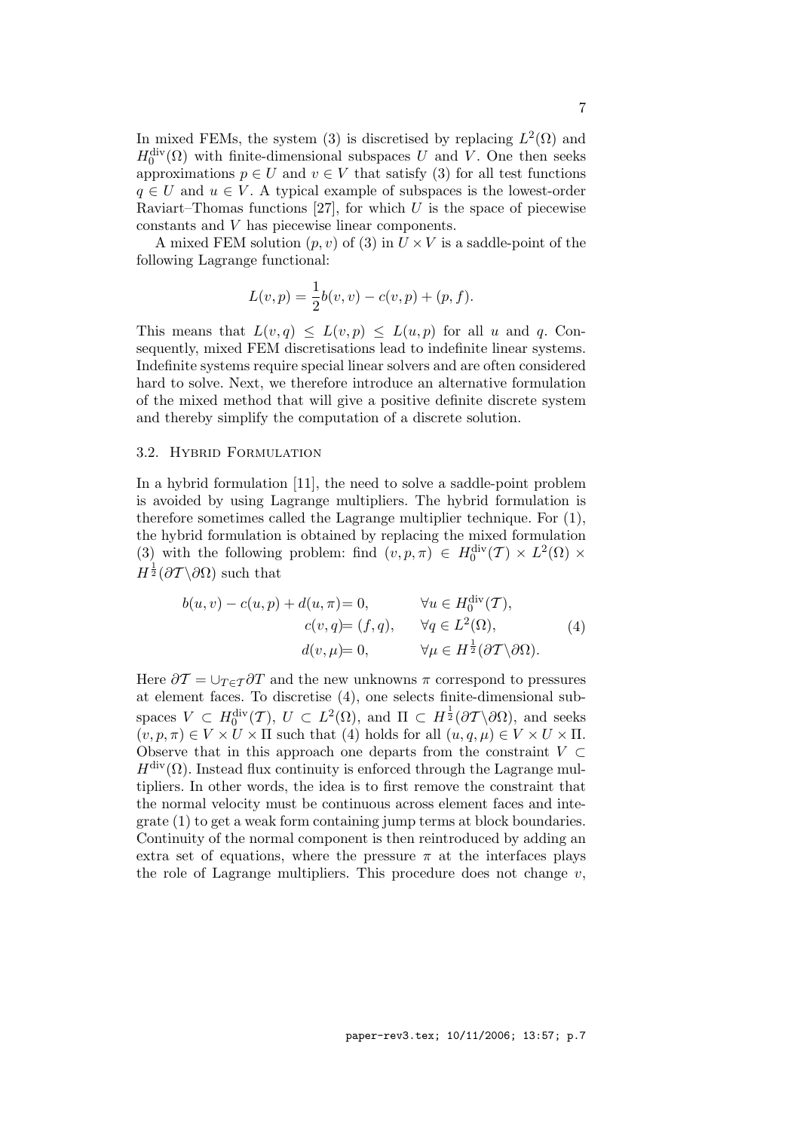In mixed FEMs, the system (3) is discretised by replacing  $L^2(\Omega)$  and  $H_0^{\text{div}}(\Omega)$  with finite-dimensional subspaces U and V. One then seeks approximations  $p \in U$  and  $v \in V$  that satisfy (3) for all test functions  $q \in U$  and  $u \in V$ . A typical example of subspaces is the lowest-order Raviart–Thomas functions [27], for which  $U$  is the space of piecewise constants and V has piecewise linear components.

A mixed FEM solution  $(p, v)$  of (3) in  $U \times V$  is a saddle-point of the following Lagrange functional:

$$
L(v, p) = \frac{1}{2}b(v, v) - c(v, p) + (p, f).
$$

This means that  $L(v,q) \leq L(v,p) \leq L(u,p)$  for all u and q. Consequently, mixed FEM discretisations lead to indefinite linear systems. Indefinite systems require special linear solvers and are often considered hard to solve. Next, we therefore introduce an alternative formulation of the mixed method that will give a positive definite discrete system and thereby simplify the computation of a discrete solution.

## 3.2. Hybrid Formulation

In a hybrid formulation [11], the need to solve a saddle-point problem is avoided by using Lagrange multipliers. The hybrid formulation is therefore sometimes called the Lagrange multiplier technique. For (1), the hybrid formulation is obtained by replacing the mixed formulation (3) with the following problem: find  $(v, p, \pi) \in H_0^{\text{div}}(\mathcal{T}) \times L^2(\Omega) \times$  $H^{\frac{1}{2}}(\partial \mathcal{T} \backslash \partial \Omega)$  such that

$$
b(u, v) - c(u, p) + d(u, \pi) = 0, \qquad \forall u \in H_0^{\text{div}}(\mathcal{T}),
$$
  
\n
$$
c(v, q) = (f, q), \qquad \forall q \in L^2(\Omega),
$$
  
\n
$$
d(v, \mu) = 0, \qquad \forall \mu \in H^{\frac{1}{2}}(\partial \mathcal{T} \setminus \partial \Omega).
$$
\n(4)

Here  $\partial \mathcal{T} = \bigcup_{T \in \mathcal{T}} \partial T$  and the new unknowns  $\pi$  correspond to pressures at element faces. To discretise (4), one selects finite-dimensional subspaces  $V \subset H_0^{\text{div}}(\mathcal{T}), U \subset L^2(\Omega)$ , and  $\Pi \subset H^{\frac{1}{2}}(\partial \mathcal{T} \backslash \partial \Omega)$ , and seeks  $(v, p, \pi) \in V \times U \times \Pi$  such that (4) holds for all  $(u, q, \mu) \in V \times U \times \Pi$ . Observe that in this approach one departs from the constraint  $V \subset$  $H^{\text{div}}(\Omega)$ . Instead flux continuity is enforced through the Lagrange multipliers. In other words, the idea is to first remove the constraint that the normal velocity must be continuous across element faces and integrate (1) to get a weak form containing jump terms at block boundaries. Continuity of the normal component is then reintroduced by adding an extra set of equations, where the pressure  $\pi$  at the interfaces plays the role of Lagrange multipliers. This procedure does not change  $v$ ,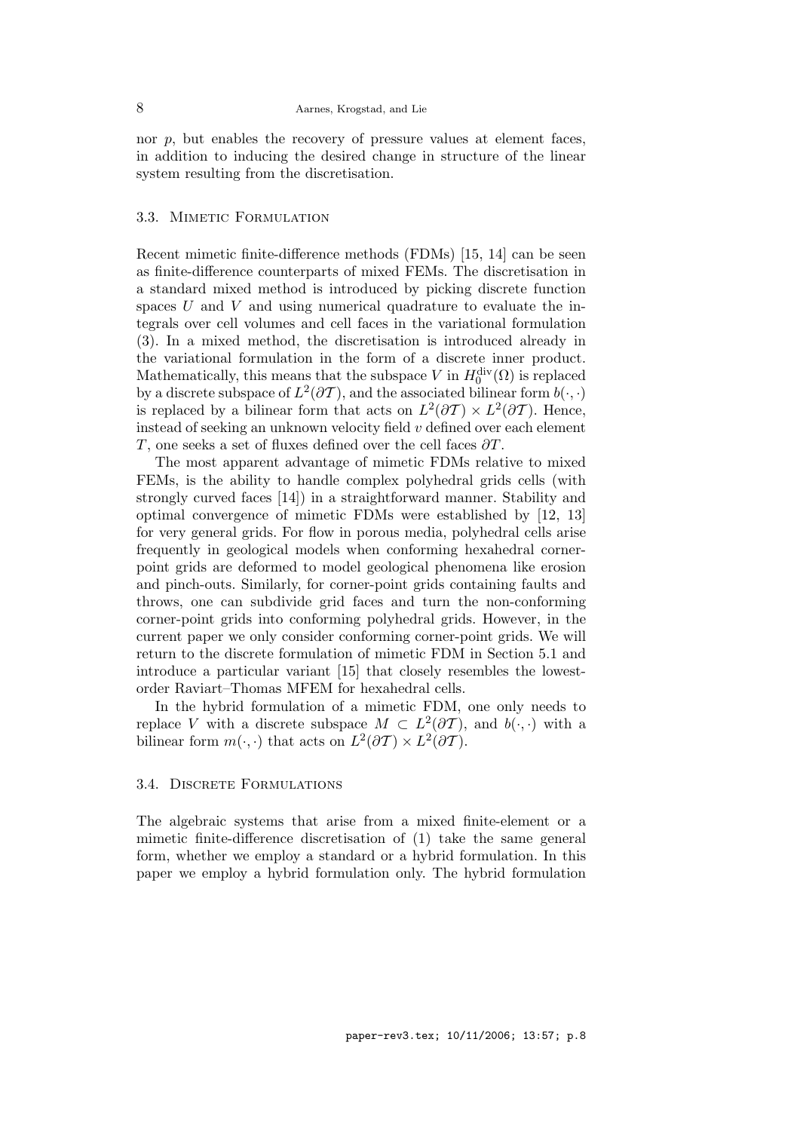nor  $p$ , but enables the recovery of pressure values at element faces, in addition to inducing the desired change in structure of the linear system resulting from the discretisation.

# 3.3. Mimetic Formulation

Recent mimetic finite-difference methods (FDMs) [15, 14] can be seen as finite-difference counterparts of mixed FEMs. The discretisation in a standard mixed method is introduced by picking discrete function spaces  $U$  and  $V$  and using numerical quadrature to evaluate the integrals over cell volumes and cell faces in the variational formulation (3). In a mixed method, the discretisation is introduced already in the variational formulation in the form of a discrete inner product. Mathematically, this means that the subspace V in  $H_0^{\text{div}}(\Omega)$  is replaced by a discrete subspace of  $L^2(\partial \mathcal{T})$ , and the associated bilinear form  $b(\cdot, \cdot)$ is replaced by a bilinear form that acts on  $L^2(\partial \mathcal{T}) \times L^2(\partial \mathcal{T})$ . Hence, instead of seeking an unknown velocity field v defined over each element T, one seeks a set of fluxes defined over the cell faces  $\partial T$ .

The most apparent advantage of mimetic FDMs relative to mixed FEMs, is the ability to handle complex polyhedral grids cells (with strongly curved faces [14]) in a straightforward manner. Stability and optimal convergence of mimetic FDMs were established by [12, 13] for very general grids. For flow in porous media, polyhedral cells arise frequently in geological models when conforming hexahedral cornerpoint grids are deformed to model geological phenomena like erosion and pinch-outs. Similarly, for corner-point grids containing faults and throws, one can subdivide grid faces and turn the non-conforming corner-point grids into conforming polyhedral grids. However, in the current paper we only consider conforming corner-point grids. We will return to the discrete formulation of mimetic FDM in Section 5.1 and introduce a particular variant [15] that closely resembles the lowestorder Raviart–Thomas MFEM for hexahedral cells.

In the hybrid formulation of a mimetic FDM, one only needs to replace V with a discrete subspace  $M \subset L^2(\partial \mathcal{T})$ , and  $b(\cdot, \cdot)$  with a bilinear form  $m(\cdot, \cdot)$  that acts on  $L^2(\partial \mathcal{T}) \times L^2(\partial \mathcal{T})$ .

# 3.4. DISCRETE FORMULATIONS

The algebraic systems that arise from a mixed finite-element or a mimetic finite-difference discretisation of (1) take the same general form, whether we employ a standard or a hybrid formulation. In this paper we employ a hybrid formulation only. The hybrid formulation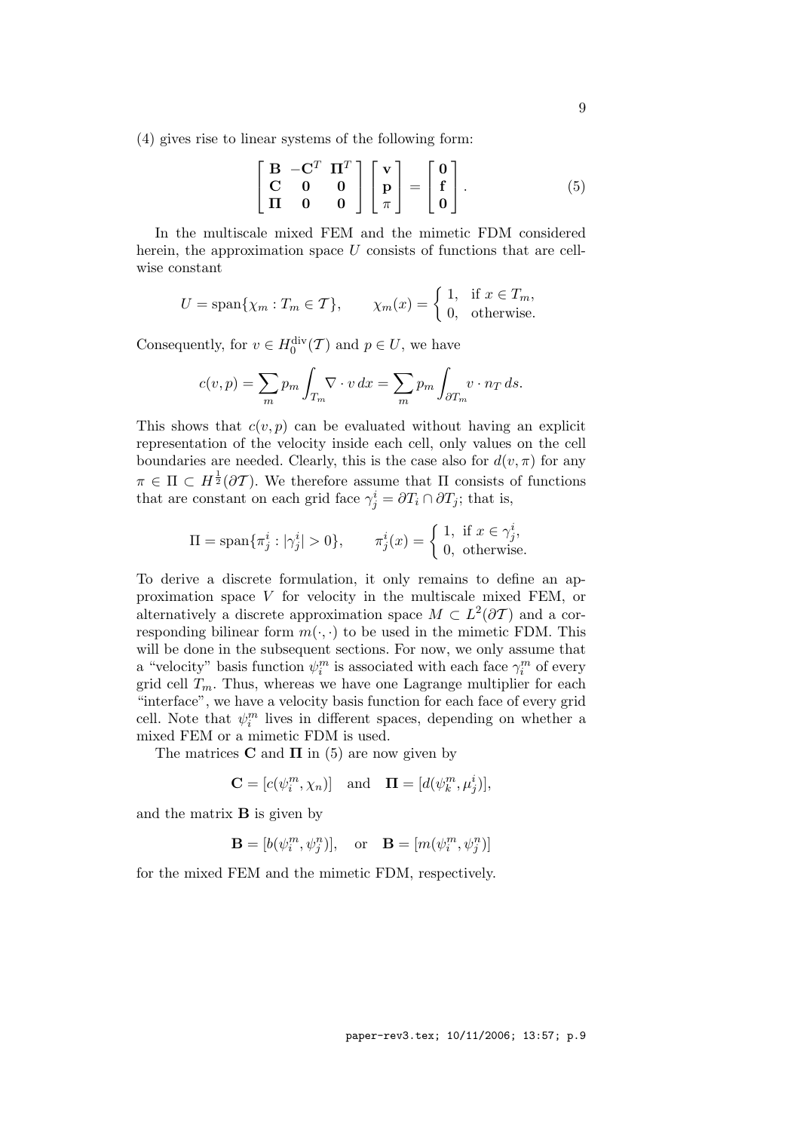(4) gives rise to linear systems of the following form:

$$
\begin{bmatrix}\n\mathbf{B} & -\mathbf{C}^T & \mathbf{\Pi}^T \\
\mathbf{C} & \mathbf{0} & \mathbf{0} \\
\mathbf{\Pi} & \mathbf{0} & \mathbf{0}\n\end{bmatrix}\n\begin{bmatrix}\n\mathbf{v} \\
\mathbf{p} \\
\pi\n\end{bmatrix} =\n\begin{bmatrix}\n\mathbf{0} \\
\mathbf{f} \\
\mathbf{0}\n\end{bmatrix}.
$$
\n(5)

In the multiscale mixed FEM and the mimetic FDM considered herein, the approximation space  $U$  consists of functions that are cellwise constant

$$
U = \text{span}\{\chi_m : T_m \in \mathcal{T}\}, \qquad \chi_m(x) = \begin{cases} 1, & \text{if } x \in T_m, \\ 0, & \text{otherwise.} \end{cases}
$$

Consequently, for  $v \in H_0^{\text{div}}(\mathcal{T})$  and  $p \in U$ , we have

$$
c(v, p) = \sum_{m} p_m \int_{T_m} \nabla \cdot v \, dx = \sum_{m} p_m \int_{\partial T_m} v \cdot n_T \, ds.
$$

This shows that  $c(v, p)$  can be evaluated without having an explicit representation of the velocity inside each cell, only values on the cell boundaries are needed. Clearly, this is the case also for  $d(v, \pi)$  for any  $\pi \in \Pi \subset H^{\frac{1}{2}}(\partial \mathcal{T})$ . We therefore assume that  $\Pi$  consists of functions that are constant on each grid face  $\gamma_j^i = \partial T_i \cap \partial T_j$ ; that is,

$$
\Pi = \text{span}\{\pi_j^i : |\gamma_j^i| > 0\}, \qquad \pi_j^i(x) = \begin{cases} 1, & \text{if } x \in \gamma_j^i, \\ 0, & \text{otherwise.} \end{cases}
$$

To derive a discrete formulation, it only remains to define an approximation space V for velocity in the multiscale mixed FEM, or alternatively a discrete approximation space  $M \subset L^2(\partial \mathcal{T})$  and a corresponding bilinear form  $m(\cdot, \cdot)$  to be used in the mimetic FDM. This will be done in the subsequent sections. For now, we only assume that a "velocity" basis function  $\psi_i^m$  is associated with each face  $\gamma_i^m$  of every grid cell  $T_m$ . Thus, whereas we have one Lagrange multiplier for each "interface", we have a velocity basis function for each face of every grid cell. Note that  $\psi_i^m$  lives in different spaces, depending on whether a mixed FEM or a mimetic FDM is used.

The matrices **C** and  $\Pi$  in (5) are now given by

$$
\mathbf{C} = [c(\psi_i^m, \chi_n)] \quad \text{and} \quad \mathbf{\Pi} = [d(\psi_k^m, \mu_j^i)],
$$

and the matrix B is given by

$$
\mathbf{B} = [b(\psi_i^m, \psi_j^n)], \quad \text{or} \quad \mathbf{B} = [m(\psi_i^m, \psi_j^n)]
$$

for the mixed FEM and the mimetic FDM, respectively.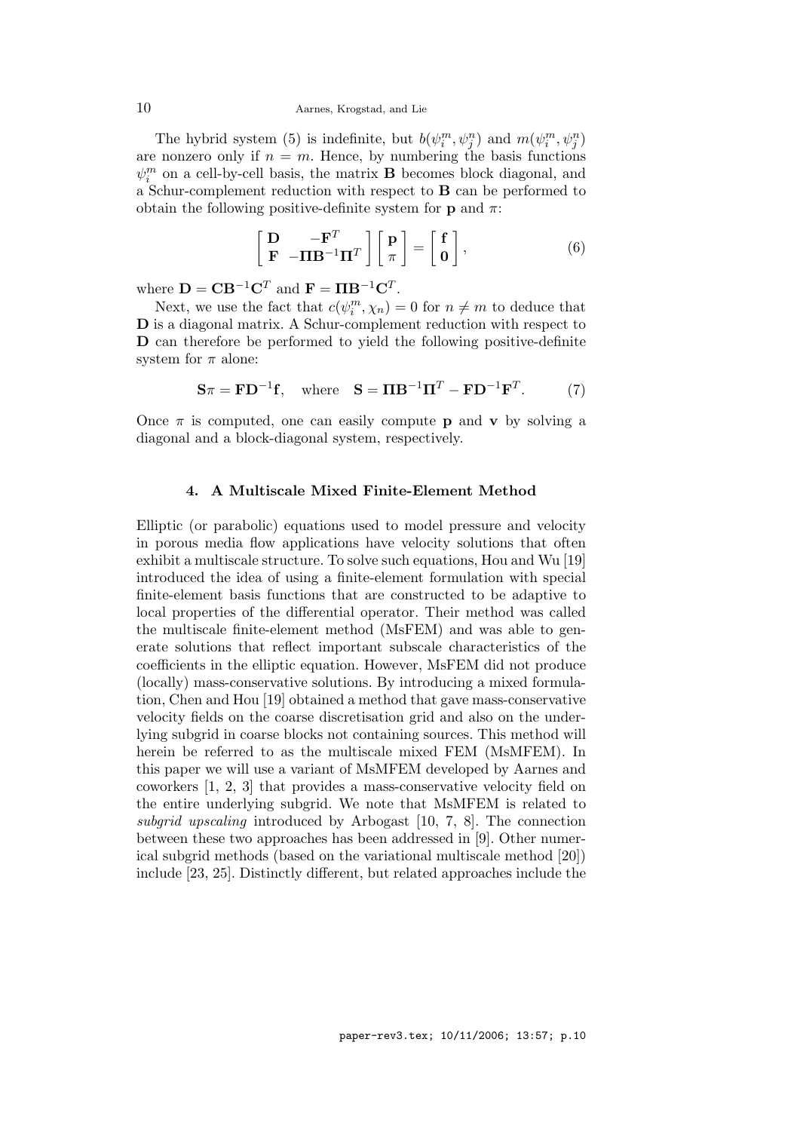#### 10 Aarnes, Krogstad, and Lie

The hybrid system (5) is indefinite, but  $b(\psi_i^m, \psi_j^n)$  and  $m(\psi_i^m, \psi_j^n)$ are nonzero only if  $n = m$ . Hence, by numbering the basis functions  $\psi^m_i$  on a cell-by-cell basis, the matrix  ${\bf B}$  becomes block diagonal, and a Schur-complement reduction with respect to B can be performed to obtain the following positive-definite system for **p** and  $\pi$ :

$$
\begin{bmatrix} \mathbf{D} & -\mathbf{F}^T \\ \mathbf{F} & -\mathbf{\Pi}\mathbf{B}^{-1}\mathbf{\Pi}^T \end{bmatrix} \begin{bmatrix} \mathbf{p} \\ \pi \end{bmatrix} = \begin{bmatrix} \mathbf{f} \\ \mathbf{0} \end{bmatrix},
$$
 (6)

where  $\mathbf{D} = \mathbf{C} \mathbf{B}^{-1} \mathbf{C}^T$  and  $\mathbf{F} = \mathbf{\Pi} \mathbf{B}^{-1} \mathbf{C}^T$ .

Next, we use the fact that  $c(\psi_i^m, \chi_n) = 0$  for  $n \neq m$  to deduce that D is a diagonal matrix. A Schur-complement reduction with respect to D can therefore be performed to yield the following positive-definite system for  $\pi$  alone:

$$
\mathbf{S}\pi = \mathbf{F}\mathbf{D}^{-1}\mathbf{f}, \quad \text{where} \quad \mathbf{S} = \mathbf{\Pi}\mathbf{B}^{-1}\mathbf{\Pi}^T - \mathbf{F}\mathbf{D}^{-1}\mathbf{F}^T. \tag{7}
$$

Once  $\pi$  is computed, one can easily compute **p** and **v** by solving a diagonal and a block-diagonal system, respectively.

# 4. A Multiscale Mixed Finite-Element Method

Elliptic (or parabolic) equations used to model pressure and velocity in porous media flow applications have velocity solutions that often exhibit a multiscale structure. To solve such equations, Hou and Wu [19] introduced the idea of using a finite-element formulation with special finite-element basis functions that are constructed to be adaptive to local properties of the differential operator. Their method was called the multiscale finite-element method (MsFEM) and was able to generate solutions that reflect important subscale characteristics of the coefficients in the elliptic equation. However, MsFEM did not produce (locally) mass-conservative solutions. By introducing a mixed formulation, Chen and Hou [19] obtained a method that gave mass-conservative velocity fields on the coarse discretisation grid and also on the underlying subgrid in coarse blocks not containing sources. This method will herein be referred to as the multiscale mixed FEM (MsMFEM). In this paper we will use a variant of MsMFEM developed by Aarnes and coworkers [1, 2, 3] that provides a mass-conservative velocity field on the entire underlying subgrid. We note that MsMFEM is related to subgrid upscaling introduced by Arbogast [10, 7, 8]. The connection between these two approaches has been addressed in [9]. Other numerical subgrid methods (based on the variational multiscale method [20]) include [23, 25]. Distinctly different, but related approaches include the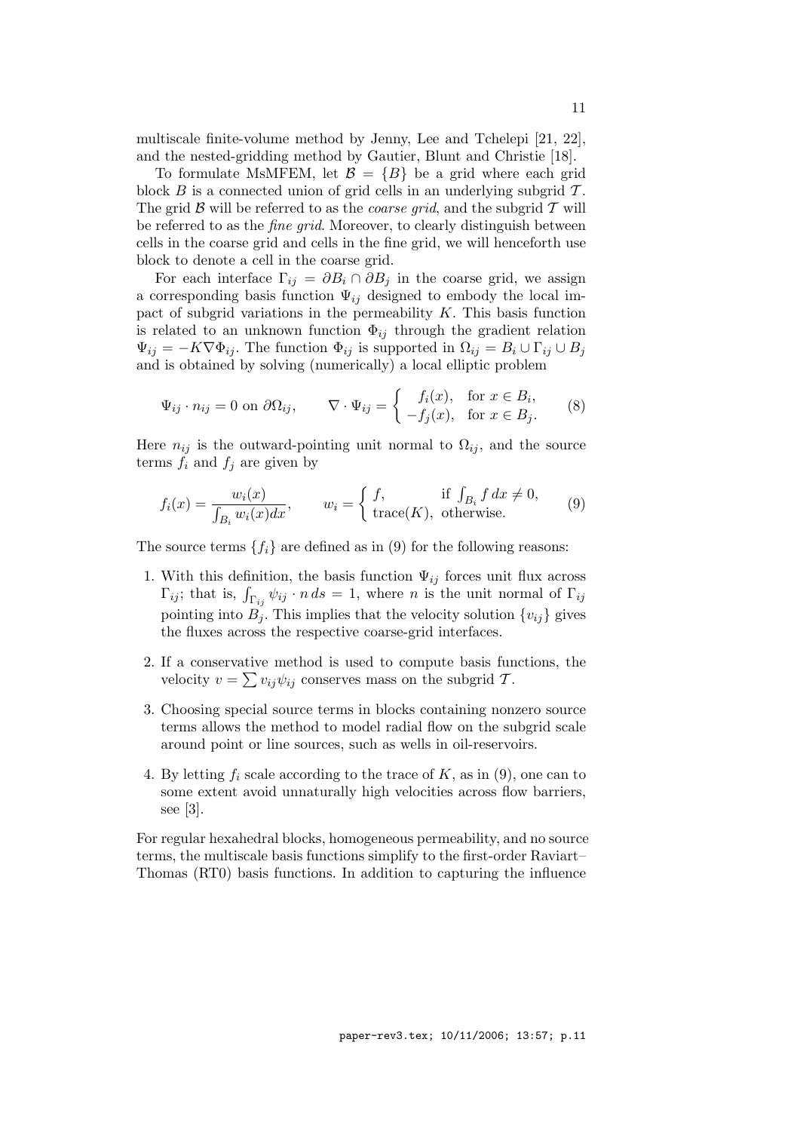multiscale finite-volume method by Jenny, Lee and Tchelepi [21, 22], and the nested-gridding method by Gautier, Blunt and Christie [18].

To formulate MsMFEM, let  $\mathcal{B} = \{B\}$  be a grid where each grid block  $B$  is a connected union of grid cells in an underlying subgrid  $T$ . The grid  $\beta$  will be referred to as the *coarse grid*, and the subgrid  $\mathcal T$  will be referred to as the fine grid. Moreover, to clearly distinguish between cells in the coarse grid and cells in the fine grid, we will henceforth use block to denote a cell in the coarse grid.

For each interface  $\Gamma_{ij} = \partial B_i \cap \partial B_j$  in the coarse grid, we assign a corresponding basis function  $\Psi_{ij}$  designed to embody the local impact of subgrid variations in the permeability  $K$ . This basis function is related to an unknown function  $\Phi_{ij}$  through the gradient relation  $\Psi_{ij} = -K\nabla \Phi_{ij}$ . The function  $\Phi_{ij}$  is supported in  $\Omega_{ij} = B_i \cup \Gamma_{ij} \cup B_j$ and is obtained by solving (numerically) a local elliptic problem

$$
\Psi_{ij} \cdot n_{ij} = 0 \text{ on } \partial \Omega_{ij}, \qquad \nabla \cdot \Psi_{ij} = \begin{cases} f_i(x), & \text{for } x \in B_i, \\ -f_j(x), & \text{for } x \in B_j. \end{cases} \tag{8}
$$

Here  $n_{ij}$  is the outward-pointing unit normal to  $\Omega_{ij}$ , and the source terms  $f_i$  and  $f_j$  are given by

$$
f_i(x) = \frac{w_i(x)}{\int_{B_i} w_i(x) dx}, \qquad w_i = \begin{cases} f, & \text{if } \int_{B_i} f \, dx \neq 0, \\ \text{trace}(K), & \text{otherwise.} \end{cases} \tag{9}
$$

The source terms  $\{f_i\}$  are defined as in (9) for the following reasons:

- 1. With this definition, the basis function  $\Psi_{ij}$  forces unit flux across  $\Gamma_{ij}$ ; that is,  $\int_{\Gamma_{ij}} \psi_{ij} \cdot n \, ds = 1$ , where n is the unit normal of  $\Gamma_{ij}$ pointing into  $B_i$ . This implies that the velocity solution  $\{v_{ij}\}$  gives the fluxes across the respective coarse-grid interfaces.
- 2. If a conservative method is used to compute basis functions, the velocity  $v = \sum v_{ij} \psi_{ij}$  conserves mass on the subgrid T.
- 3. Choosing special source terms in blocks containing nonzero source terms allows the method to model radial flow on the subgrid scale around point or line sources, such as wells in oil-reservoirs.
- 4. By letting  $f_i$  scale according to the trace of  $K$ , as in (9), one can to some extent avoid unnaturally high velocities across flow barriers, see [3].

For regular hexahedral blocks, homogeneous permeability, and no source terms, the multiscale basis functions simplify to the first-order Raviart– Thomas (RT0) basis functions. In addition to capturing the influence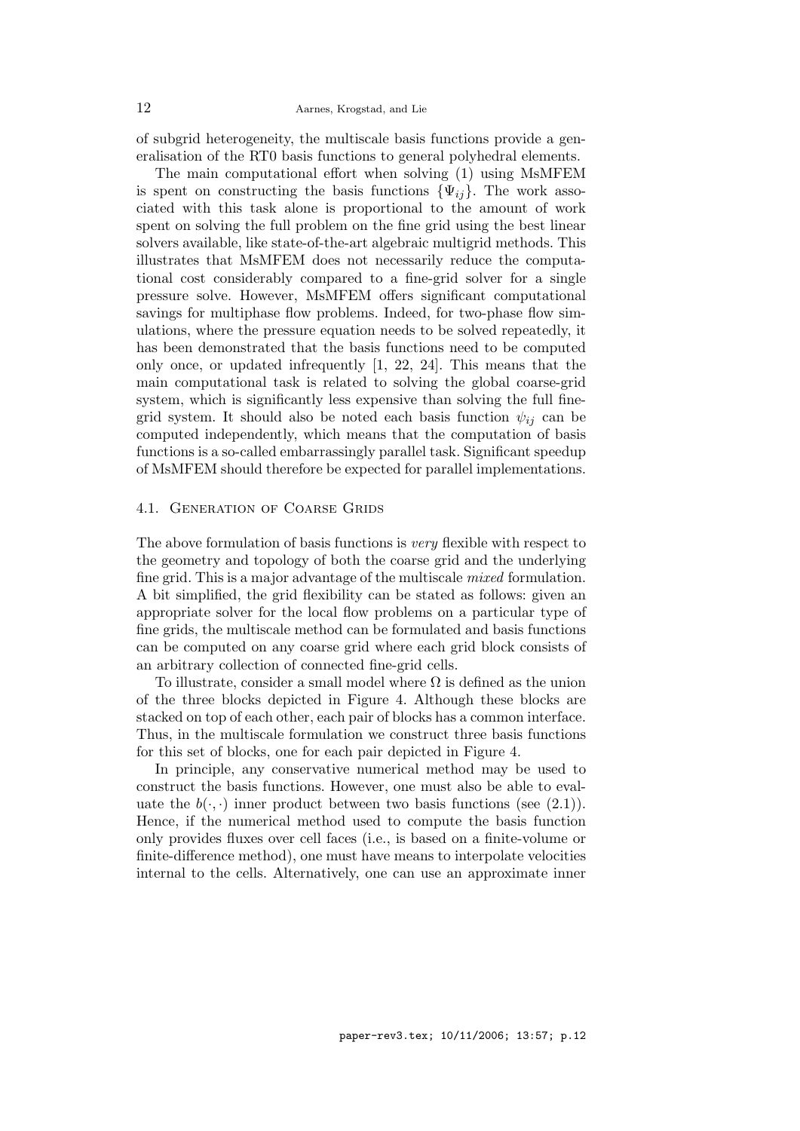of subgrid heterogeneity, the multiscale basis functions provide a generalisation of the RT0 basis functions to general polyhedral elements.

The main computational effort when solving (1) using MsMFEM is spent on constructing the basis functions  $\{\Psi_{ij}\}\$ . The work associated with this task alone is proportional to the amount of work spent on solving the full problem on the fine grid using the best linear solvers available, like state-of-the-art algebraic multigrid methods. This illustrates that MsMFEM does not necessarily reduce the computational cost considerably compared to a fine-grid solver for a single pressure solve. However, MsMFEM offers significant computational savings for multiphase flow problems. Indeed, for two-phase flow simulations, where the pressure equation needs to be solved repeatedly, it has been demonstrated that the basis functions need to be computed only once, or updated infrequently [1, 22, 24]. This means that the main computational task is related to solving the global coarse-grid system, which is significantly less expensive than solving the full finegrid system. It should also be noted each basis function  $\psi_{ij}$  can be computed independently, which means that the computation of basis functions is a so-called embarrassingly parallel task. Significant speedup of MsMFEM should therefore be expected for parallel implementations.

## 4.1. GENERATION OF COARSE GRIDS

The above formulation of basis functions is very flexible with respect to the geometry and topology of both the coarse grid and the underlying fine grid. This is a major advantage of the multiscale mixed formulation. A bit simplified, the grid flexibility can be stated as follows: given an appropriate solver for the local flow problems on a particular type of fine grids, the multiscale method can be formulated and basis functions can be computed on any coarse grid where each grid block consists of an arbitrary collection of connected fine-grid cells.

To illustrate, consider a small model where  $\Omega$  is defined as the union of the three blocks depicted in Figure 4. Although these blocks are stacked on top of each other, each pair of blocks has a common interface. Thus, in the multiscale formulation we construct three basis functions for this set of blocks, one for each pair depicted in Figure 4.

In principle, any conservative numerical method may be used to construct the basis functions. However, one must also be able to evaluate the  $b(\cdot, \cdot)$  inner product between two basis functions (see (2.1)). Hence, if the numerical method used to compute the basis function only provides fluxes over cell faces (i.e., is based on a finite-volume or finite-difference method), one must have means to interpolate velocities internal to the cells. Alternatively, one can use an approximate inner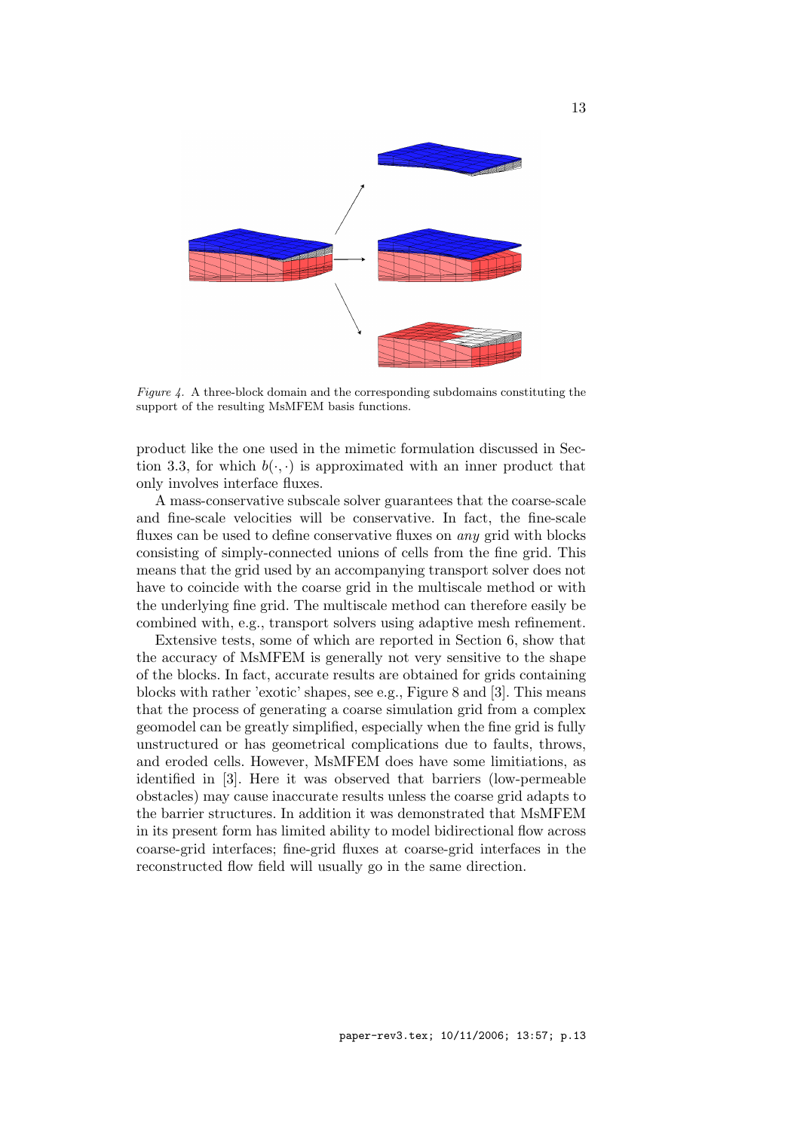

Figure 4. A three-block domain and the corresponding subdomains constituting the support of the resulting MsMFEM basis functions.

product like the one used in the mimetic formulation discussed in Section 3.3, for which  $b(\cdot, \cdot)$  is approximated with an inner product that only involves interface fluxes.

A mass-conservative subscale solver guarantees that the coarse-scale and fine-scale velocities will be conservative. In fact, the fine-scale fluxes can be used to define conservative fluxes on any grid with blocks consisting of simply-connected unions of cells from the fine grid. This means that the grid used by an accompanying transport solver does not have to coincide with the coarse grid in the multiscale method or with the underlying fine grid. The multiscale method can therefore easily be combined with, e.g., transport solvers using adaptive mesh refinement.

Extensive tests, some of which are reported in Section 6, show that the accuracy of MsMFEM is generally not very sensitive to the shape of the blocks. In fact, accurate results are obtained for grids containing blocks with rather 'exotic' shapes, see e.g., Figure 8 and [3]. This means that the process of generating a coarse simulation grid from a complex geomodel can be greatly simplified, especially when the fine grid is fully unstructured or has geometrical complications due to faults, throws, and eroded cells. However, MsMFEM does have some limitiations, as identified in [3]. Here it was observed that barriers (low-permeable obstacles) may cause inaccurate results unless the coarse grid adapts to the barrier structures. In addition it was demonstrated that MsMFEM in its present form has limited ability to model bidirectional flow across coarse-grid interfaces; fine-grid fluxes at coarse-grid interfaces in the reconstructed flow field will usually go in the same direction.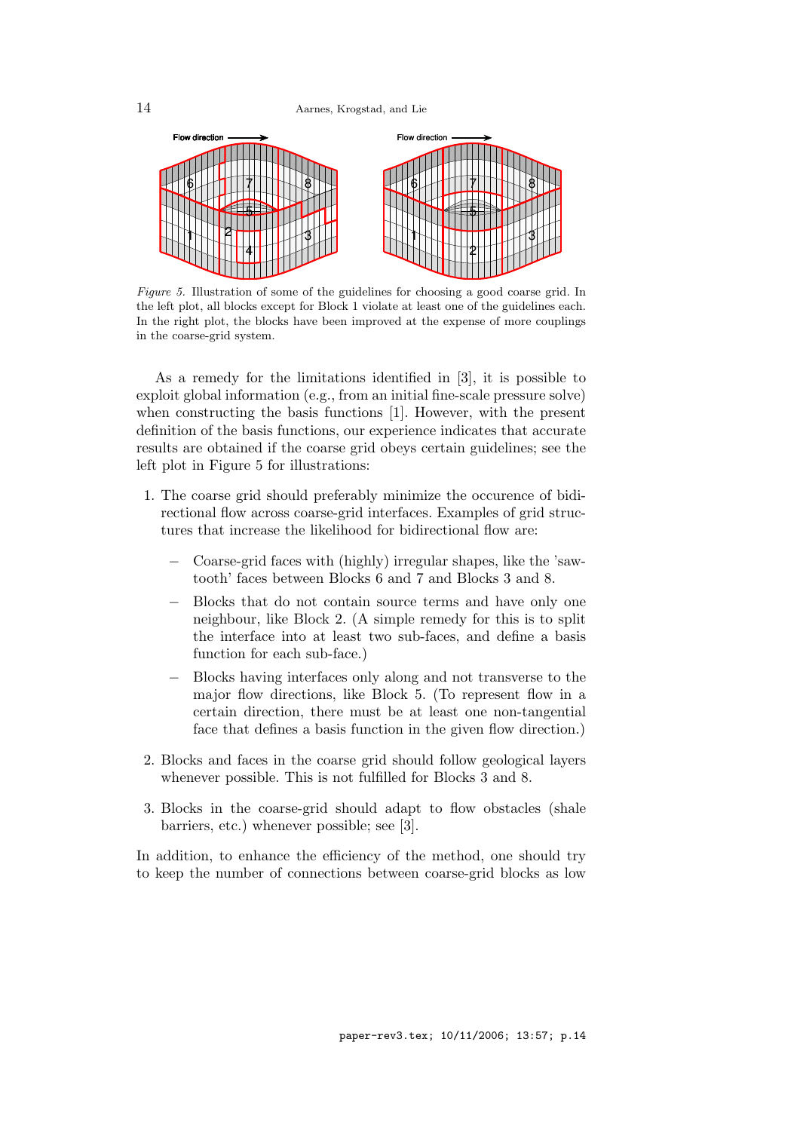

Figure 5. Illustration of some of the guidelines for choosing a good coarse grid. In the left plot, all blocks except for Block 1 violate at least one of the guidelines each. In the right plot, the blocks have been improved at the expense of more couplings in the coarse-grid system.

As a remedy for the limitations identified in [3], it is possible to exploit global information (e.g., from an initial fine-scale pressure solve) when constructing the basis functions [1]. However, with the present definition of the basis functions, our experience indicates that accurate results are obtained if the coarse grid obeys certain guidelines; see the left plot in Figure 5 for illustrations:

- 1. The coarse grid should preferably minimize the occurence of bidirectional flow across coarse-grid interfaces. Examples of grid structures that increase the likelihood for bidirectional flow are:
	- − Coarse-grid faces with (highly) irregular shapes, like the 'sawtooth' faces between Blocks 6 and 7 and Blocks 3 and 8.
	- Blocks that do not contain source terms and have only one neighbour, like Block 2. (A simple remedy for this is to split the interface into at least two sub-faces, and define a basis function for each sub-face.)
	- − Blocks having interfaces only along and not transverse to the major flow directions, like Block 5. (To represent flow in a certain direction, there must be at least one non-tangential face that defines a basis function in the given flow direction.)
- 2. Blocks and faces in the coarse grid should follow geological layers whenever possible. This is not fulfilled for Blocks 3 and 8.
- 3. Blocks in the coarse-grid should adapt to flow obstacles (shale barriers, etc.) whenever possible; see [3].

In addition, to enhance the efficiency of the method, one should try to keep the number of connections between coarse-grid blocks as low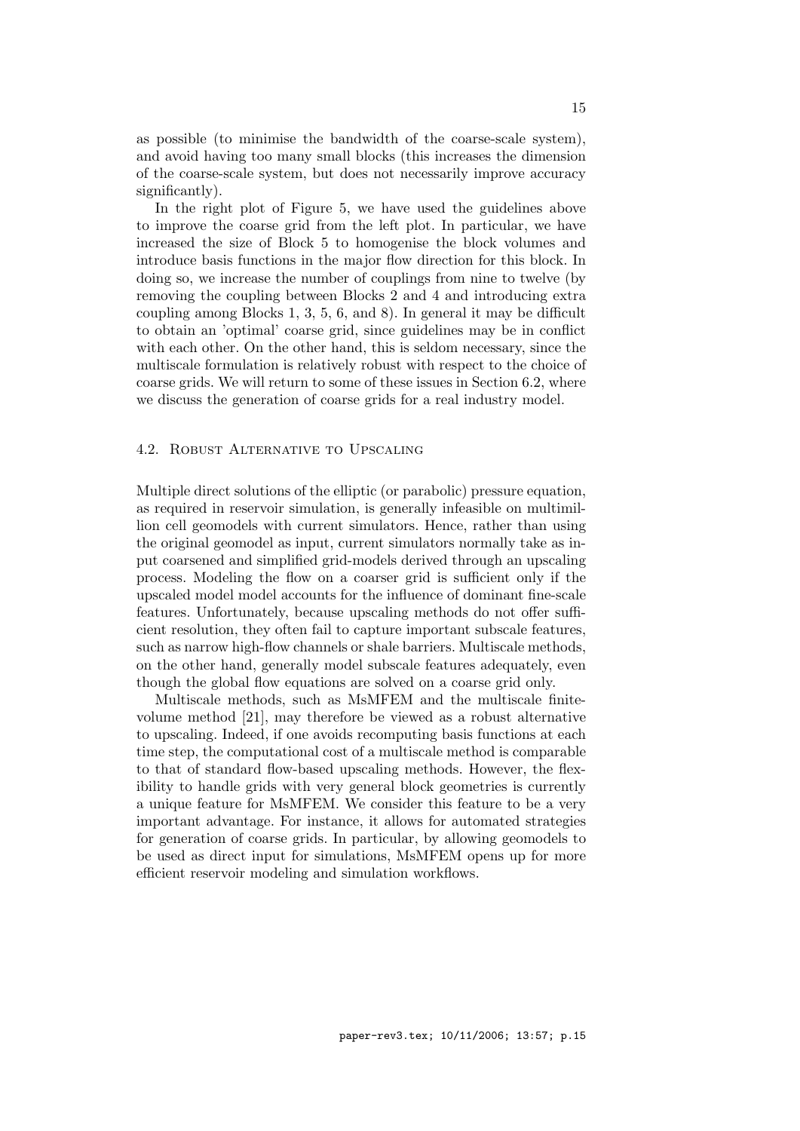as possible (to minimise the bandwidth of the coarse-scale system), and avoid having too many small blocks (this increases the dimension of the coarse-scale system, but does not necessarily improve accuracy significantly).

In the right plot of Figure 5, we have used the guidelines above to improve the coarse grid from the left plot. In particular, we have increased the size of Block 5 to homogenise the block volumes and introduce basis functions in the major flow direction for this block. In doing so, we increase the number of couplings from nine to twelve (by removing the coupling between Blocks 2 and 4 and introducing extra coupling among Blocks 1, 3, 5, 6, and 8). In general it may be difficult to obtain an 'optimal' coarse grid, since guidelines may be in conflict with each other. On the other hand, this is seldom necessary, since the multiscale formulation is relatively robust with respect to the choice of coarse grids. We will return to some of these issues in Section 6.2, where we discuss the generation of coarse grids for a real industry model.

# 4.2. Robust Alternative to Upscaling

Multiple direct solutions of the elliptic (or parabolic) pressure equation, as required in reservoir simulation, is generally infeasible on multimillion cell geomodels with current simulators. Hence, rather than using the original geomodel as input, current simulators normally take as input coarsened and simplified grid-models derived through an upscaling process. Modeling the flow on a coarser grid is sufficient only if the upscaled model model accounts for the influence of dominant fine-scale features. Unfortunately, because upscaling methods do not offer sufficient resolution, they often fail to capture important subscale features, such as narrow high-flow channels or shale barriers. Multiscale methods, on the other hand, generally model subscale features adequately, even though the global flow equations are solved on a coarse grid only.

Multiscale methods, such as MsMFEM and the multiscale finitevolume method [21], may therefore be viewed as a robust alternative to upscaling. Indeed, if one avoids recomputing basis functions at each time step, the computational cost of a multiscale method is comparable to that of standard flow-based upscaling methods. However, the flexibility to handle grids with very general block geometries is currently a unique feature for MsMFEM. We consider this feature to be a very important advantage. For instance, it allows for automated strategies for generation of coarse grids. In particular, by allowing geomodels to be used as direct input for simulations, MsMFEM opens up for more efficient reservoir modeling and simulation workflows.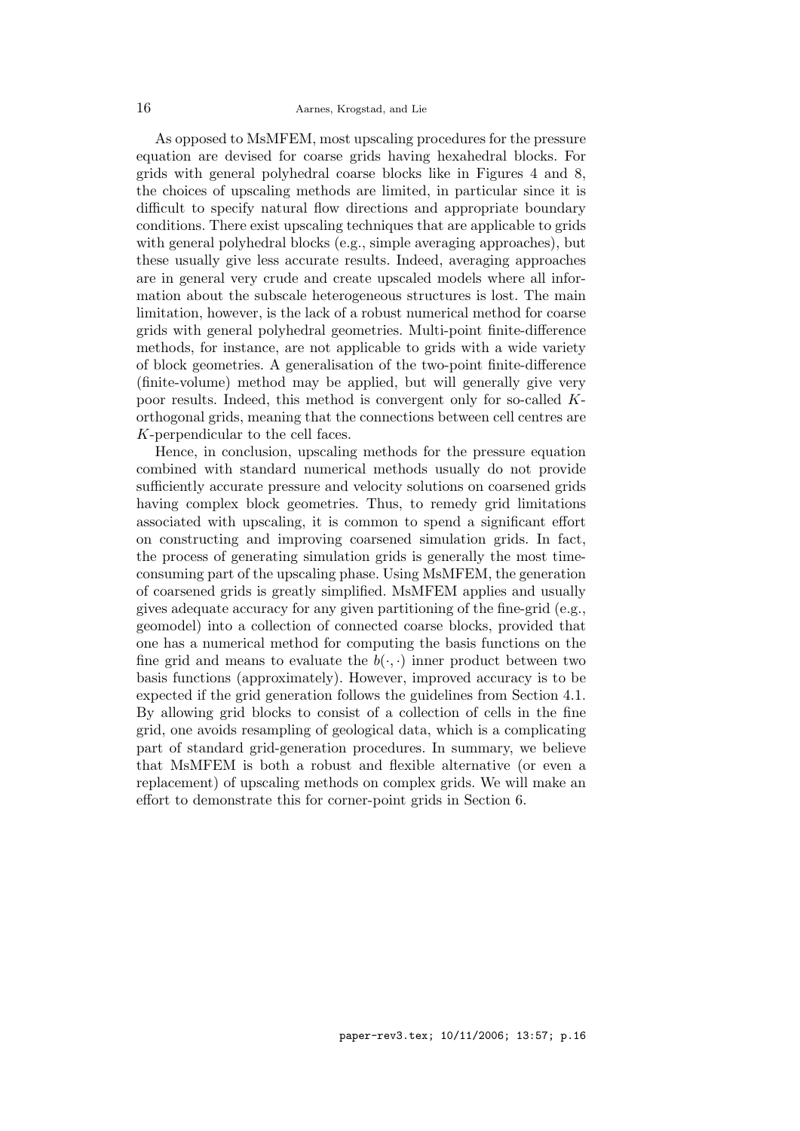As opposed to MsMFEM, most upscaling procedures for the pressure equation are devised for coarse grids having hexahedral blocks. For grids with general polyhedral coarse blocks like in Figures 4 and 8, the choices of upscaling methods are limited, in particular since it is difficult to specify natural flow directions and appropriate boundary conditions. There exist upscaling techniques that are applicable to grids with general polyhedral blocks (e.g., simple averaging approaches), but these usually give less accurate results. Indeed, averaging approaches are in general very crude and create upscaled models where all information about the subscale heterogeneous structures is lost. The main limitation, however, is the lack of a robust numerical method for coarse grids with general polyhedral geometries. Multi-point finite-difference methods, for instance, are not applicable to grids with a wide variety of block geometries. A generalisation of the two-point finite-difference (finite-volume) method may be applied, but will generally give very poor results. Indeed, this method is convergent only for so-called Korthogonal grids, meaning that the connections between cell centres are K-perpendicular to the cell faces.

Hence, in conclusion, upscaling methods for the pressure equation combined with standard numerical methods usually do not provide sufficiently accurate pressure and velocity solutions on coarsened grids having complex block geometries. Thus, to remedy grid limitations associated with upscaling, it is common to spend a significant effort on constructing and improving coarsened simulation grids. In fact, the process of generating simulation grids is generally the most timeconsuming part of the upscaling phase. Using MsMFEM, the generation of coarsened grids is greatly simplified. MsMFEM applies and usually gives adequate accuracy for any given partitioning of the fine-grid (e.g., geomodel) into a collection of connected coarse blocks, provided that one has a numerical method for computing the basis functions on the fine grid and means to evaluate the  $b(\cdot, \cdot)$  inner product between two basis functions (approximately). However, improved accuracy is to be expected if the grid generation follows the guidelines from Section 4.1. By allowing grid blocks to consist of a collection of cells in the fine grid, one avoids resampling of geological data, which is a complicating part of standard grid-generation procedures. In summary, we believe that MsMFEM is both a robust and flexible alternative (or even a replacement) of upscaling methods on complex grids. We will make an effort to demonstrate this for corner-point grids in Section 6.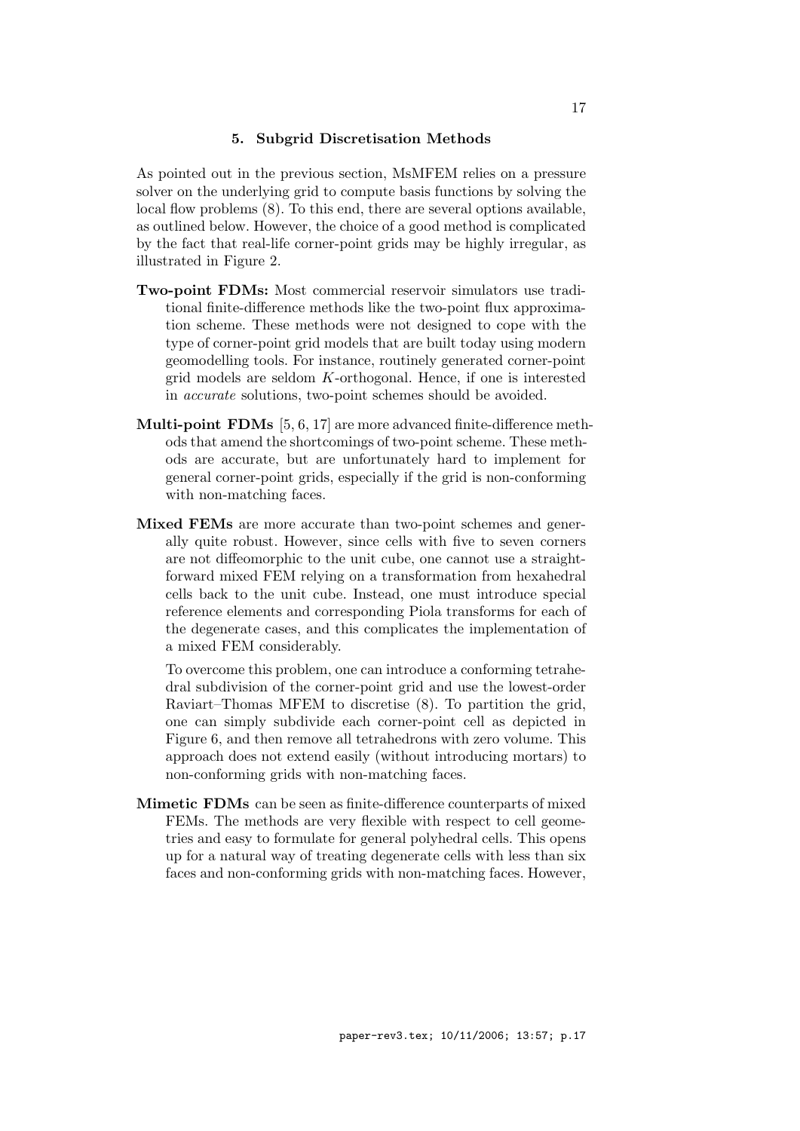# 5. Subgrid Discretisation Methods

As pointed out in the previous section, MsMFEM relies on a pressure solver on the underlying grid to compute basis functions by solving the local flow problems (8). To this end, there are several options available, as outlined below. However, the choice of a good method is complicated by the fact that real-life corner-point grids may be highly irregular, as illustrated in Figure 2.

- Two-point FDMs: Most commercial reservoir simulators use traditional finite-difference methods like the two-point flux approximation scheme. These methods were not designed to cope with the type of corner-point grid models that are built today using modern geomodelling tools. For instance, routinely generated corner-point grid models are seldom K-orthogonal. Hence, if one is interested in accurate solutions, two-point schemes should be avoided.
- Multi-point FDMs [5, 6, 17] are more advanced finite-difference methods that amend the shortcomings of two-point scheme. These methods are accurate, but are unfortunately hard to implement for general corner-point grids, especially if the grid is non-conforming with non-matching faces.
- Mixed FEMs are more accurate than two-point schemes and generally quite robust. However, since cells with five to seven corners are not diffeomorphic to the unit cube, one cannot use a straightforward mixed FEM relying on a transformation from hexahedral cells back to the unit cube. Instead, one must introduce special reference elements and corresponding Piola transforms for each of the degenerate cases, and this complicates the implementation of a mixed FEM considerably.

To overcome this problem, one can introduce a conforming tetrahedral subdivision of the corner-point grid and use the lowest-order Raviart–Thomas MFEM to discretise (8). To partition the grid, one can simply subdivide each corner-point cell as depicted in Figure 6, and then remove all tetrahedrons with zero volume. This approach does not extend easily (without introducing mortars) to non-conforming grids with non-matching faces.

Mimetic FDMs can be seen as finite-difference counterparts of mixed FEMs. The methods are very flexible with respect to cell geometries and easy to formulate for general polyhedral cells. This opens up for a natural way of treating degenerate cells with less than six faces and non-conforming grids with non-matching faces. However,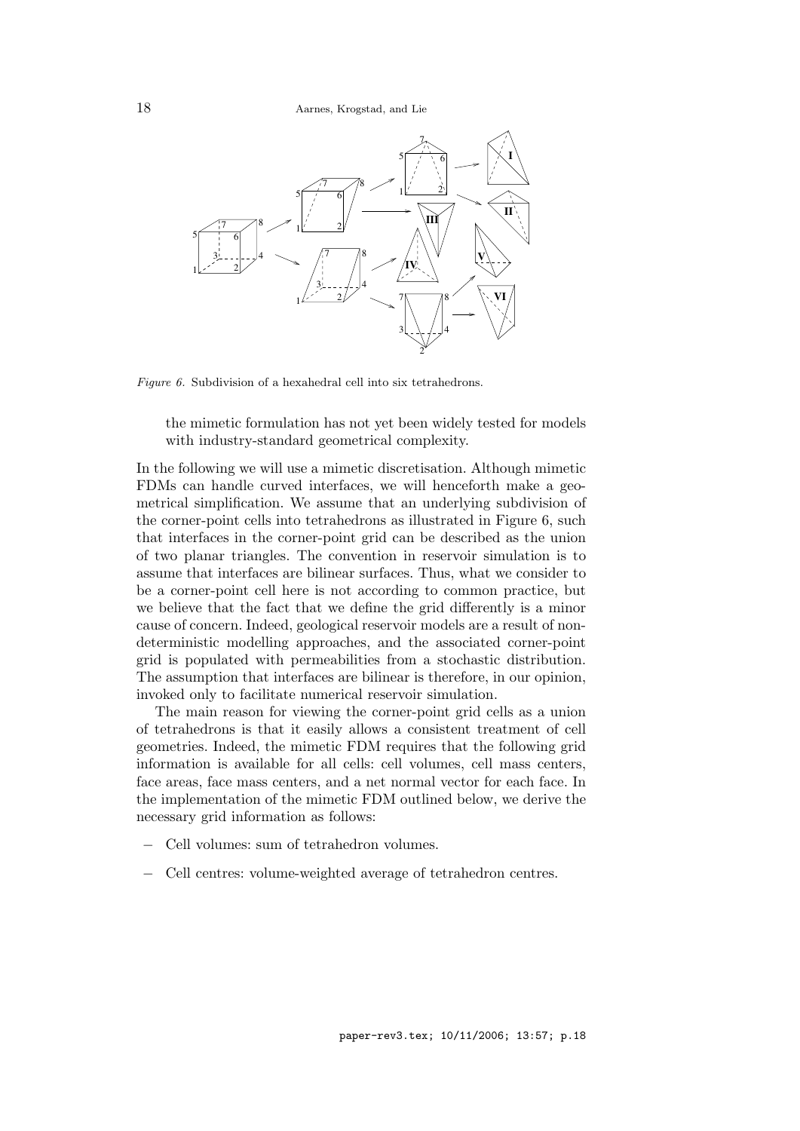

Figure 6. Subdivision of a hexahedral cell into six tetrahedrons.

the mimetic formulation has not yet been widely tested for models with industry-standard geometrical complexity.

In the following we will use a mimetic discretisation. Although mimetic FDMs can handle curved interfaces, we will henceforth make a geometrical simplification. We assume that an underlying subdivision of the corner-point cells into tetrahedrons as illustrated in Figure 6, such that interfaces in the corner-point grid can be described as the union of two planar triangles. The convention in reservoir simulation is to assume that interfaces are bilinear surfaces. Thus, what we consider to be a corner-point cell here is not according to common practice, but we believe that the fact that we define the grid differently is a minor cause of concern. Indeed, geological reservoir models are a result of nondeterministic modelling approaches, and the associated corner-point grid is populated with permeabilities from a stochastic distribution. The assumption that interfaces are bilinear is therefore, in our opinion, invoked only to facilitate numerical reservoir simulation.

The main reason for viewing the corner-point grid cells as a union of tetrahedrons is that it easily allows a consistent treatment of cell geometries. Indeed, the mimetic FDM requires that the following grid information is available for all cells: cell volumes, cell mass centers, face areas, face mass centers, and a net normal vector for each face. In the implementation of the mimetic FDM outlined below, we derive the necessary grid information as follows:

- − Cell volumes: sum of tetrahedron volumes.
- − Cell centres: volume-weighted average of tetrahedron centres.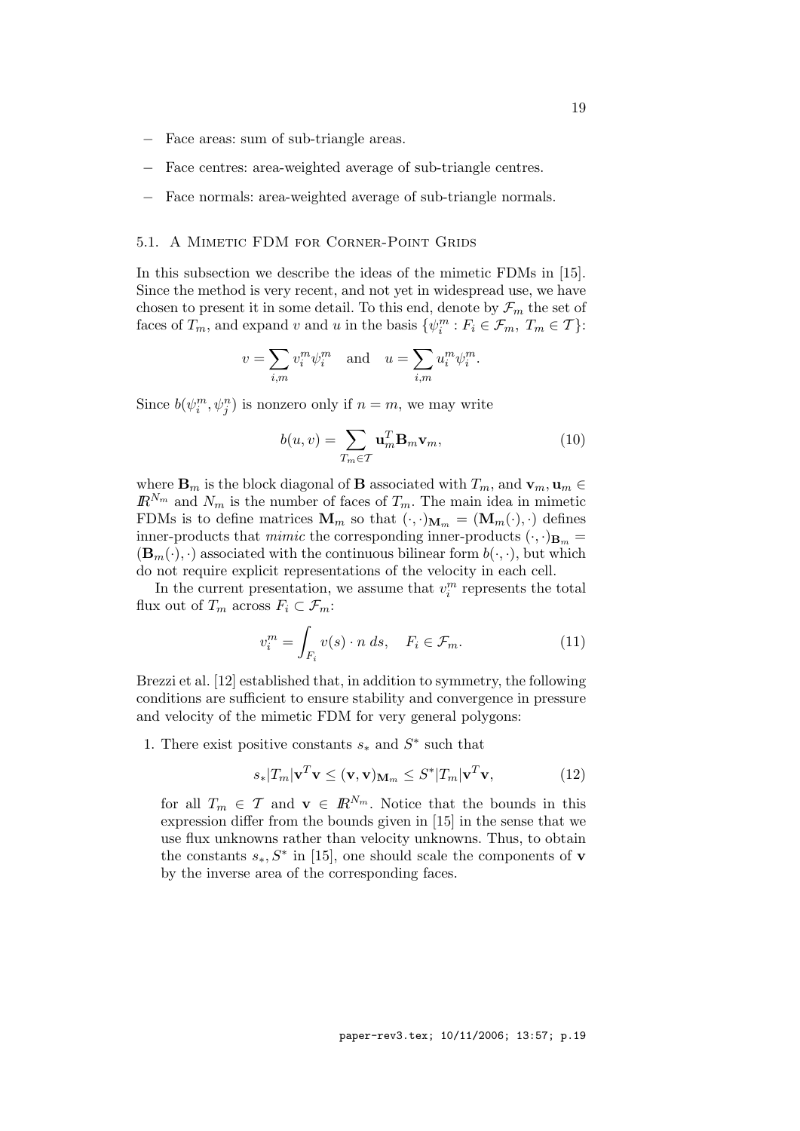- − Face areas: sum of sub-triangle areas.
- Face centres: area-weighted average of sub-triangle centres.
- − Face normals: area-weighted average of sub-triangle normals.

# 5.1. A Mimetic FDM for Corner-Point Grids

In this subsection we describe the ideas of the mimetic FDMs in [15]. Since the method is very recent, and not yet in widespread use, we have chosen to present it in some detail. To this end, denote by  $\mathcal{F}_m$  the set of faces of  $T_m$ , and expand v and u in the basis  $\{\psi_i^m : F_i \in \mathcal{F}_m, T_m \in \mathcal{T}\}\$ :

$$
v = \sum_{i,m} v_i^m \psi_i^m \quad \text{and} \quad u = \sum_{i,m} u_i^m \psi_i^m.
$$

Since  $b(\psi_i^m, \psi_j^n)$  is nonzero only if  $n = m$ , we may write

$$
b(u,v) = \sum_{T_m \in \mathcal{T}} \mathbf{u}_m^T \mathbf{B}_m \mathbf{v}_m, \tag{10}
$$

where  $\mathbf{B}_m$  is the block diagonal of **B** associated with  $T_m$ , and  $\mathbf{v}_m$ ,  $\mathbf{u}_m \in$  $\mathbb{R}^{N_m}$  and  $N_m$  is the number of faces of  $T_m$ . The main idea in mimetic FDMs is to define matrices  $\mathbf{M}_m$  so that  $(\cdot, \cdot)_{\mathbf{M}_m} = (\mathbf{M}_m(\cdot), \cdot)$  defines inner-products that *mimic* the corresponding inner-products  $(\cdot, \cdot)_{\mathbf{B}_m} =$  $(\mathbf{B}_m(\cdot), \cdot)$  associated with the continuous bilinear form  $b(\cdot, \cdot)$ , but which do not require explicit representations of the velocity in each cell.

In the current presentation, we assume that  $v_i^m$  represents the total flux out of  $T_m$  across  $F_i \subset \mathcal{F}_m$ :

$$
v_i^m = \int_{F_i} v(s) \cdot n \, ds, \quad F_i \in \mathcal{F}_m. \tag{11}
$$

Brezzi et al. [12] established that, in addition to symmetry, the following conditions are sufficient to ensure stability and convergence in pressure and velocity of the mimetic FDM for very general polygons:

1. There exist positive constants  $s_*$  and  $S^*$  such that

$$
s_*|T_m|\mathbf{v}^T\mathbf{v} \leq (\mathbf{v}, \mathbf{v})_{\mathbf{M}_m} \leq S^*|T_m|\mathbf{v}^T\mathbf{v},\tag{12}
$$

for all  $T_m \in \mathcal{T}$  and  $\mathbf{v} \in \mathbb{R}^{N_m}$ . Notice that the bounds in this expression differ from the bounds given in [15] in the sense that we use flux unknowns rather than velocity unknowns. Thus, to obtain the constants  $s_*, S^*$  in [15], one should scale the components of **v** by the inverse area of the corresponding faces.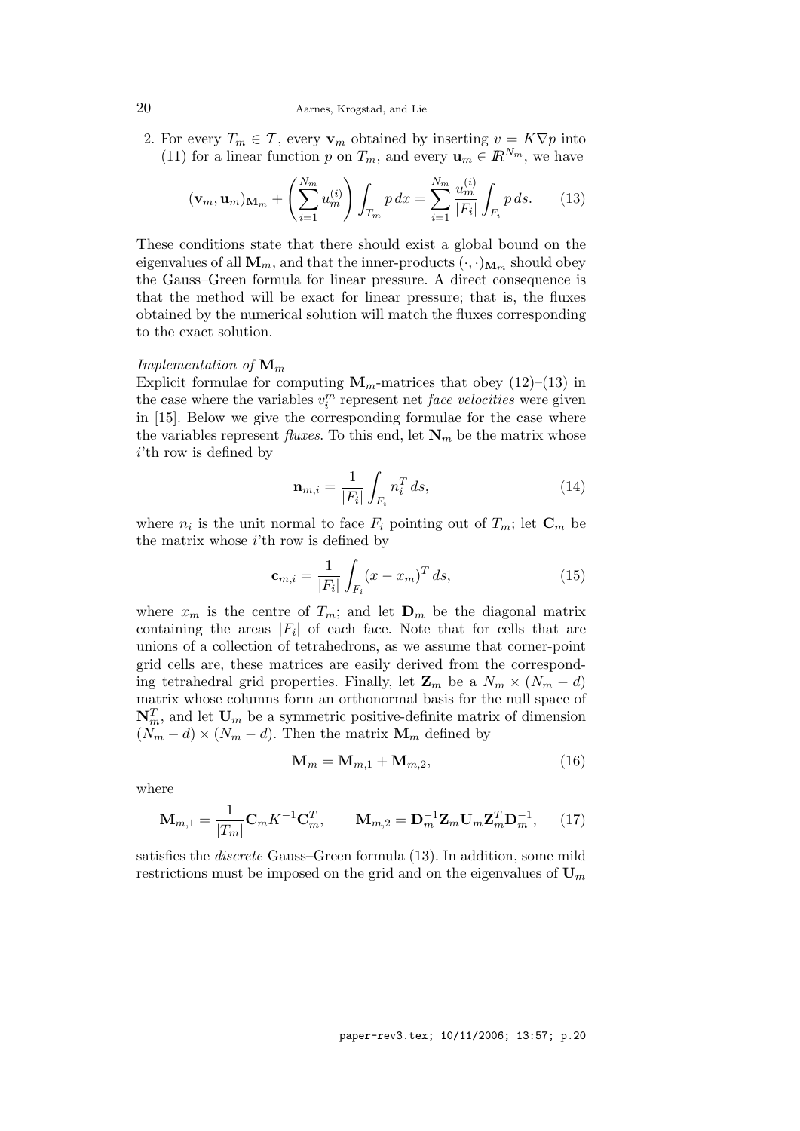#### 20 Aarnes, Krogstad, and Lie

2. For every  $T_m \in \mathcal{T}$ , every  $\mathbf{v}_m$  obtained by inserting  $v = K \nabla p$  into (11) for a linear function p on  $T_m$ , and every  $\mathbf{u}_m \in \mathbb{R}^{N_m}$ , we have

$$
(\mathbf{v}_m, \mathbf{u}_m)_{\mathbf{M}_m} + \left(\sum_{i=1}^{N_m} u_m^{(i)}\right) \int_{T_m} p \, dx = \sum_{i=1}^{N_m} \frac{u_m^{(i)}}{|F_i|} \int_{F_i} p \, ds. \tag{13}
$$

These conditions state that there should exist a global bound on the eigenvalues of all  $M_m$ , and that the inner-products  $(\cdot, \cdot)_{M_m}$  should obey the Gauss–Green formula for linear pressure. A direct consequence is that the method will be exact for linear pressure; that is, the fluxes obtained by the numerical solution will match the fluxes corresponding to the exact solution.

#### Implementation of  $\mathbf{M}_m$

Explicit formulae for computing  $M_m$ -matrices that obey (12)–(13) in the case where the variables  $v_i^m$  represent net *face velocities* were given in [15]. Below we give the corresponding formulae for the case where the variables represent *fluxes*. To this end, let  $N_m$  be the matrix whose i'th row is defined by

$$
\mathbf{n}_{m,i} = \frac{1}{|F_i|} \int_{F_i} n_i^T ds,
$$
\n(14)

where  $n_i$  is the unit normal to face  $F_i$  pointing out of  $T_m$ ; let  $\mathbf{C}_m$  be the matrix whose  $i$ 'th row is defined by

$$
\mathbf{c}_{m,i} = \frac{1}{|F_i|} \int_{F_i} (x - x_m)^T ds,
$$
 (15)

where  $x_m$  is the centre of  $T_m$ ; and let  $\mathbf{D}_m$  be the diagonal matrix containing the areas  $|F_i|$  of each face. Note that for cells that are unions of a collection of tetrahedrons, as we assume that corner-point grid cells are, these matrices are easily derived from the corresponding tetrahedral grid properties. Finally, let  $\mathbf{Z}_m$  be a  $N_m \times (N_m - d)$ matrix whose columns form an orthonormal basis for the null space of  $\mathbf{N}_m^T$ , and let  $\mathbf{U}_m$  be a symmetric positive-definite matrix of dimension  $(N_m - d) \times (N_m - d)$ . Then the matrix **M**<sub>m</sub> defined by

$$
\mathbf{M}_m = \mathbf{M}_{m,1} + \mathbf{M}_{m,2},\tag{16}
$$

where

$$
\mathbf{M}_{m,1} = \frac{1}{|T_m|} \mathbf{C}_m K^{-1} \mathbf{C}_m^T, \qquad \mathbf{M}_{m,2} = \mathbf{D}_m^{-1} \mathbf{Z}_m \mathbf{U}_m \mathbf{Z}_m^T \mathbf{D}_m^{-1}, \qquad (17)
$$

satisfies the discrete Gauss–Green formula (13). In addition, some mild restrictions must be imposed on the grid and on the eigenvalues of  $U_m$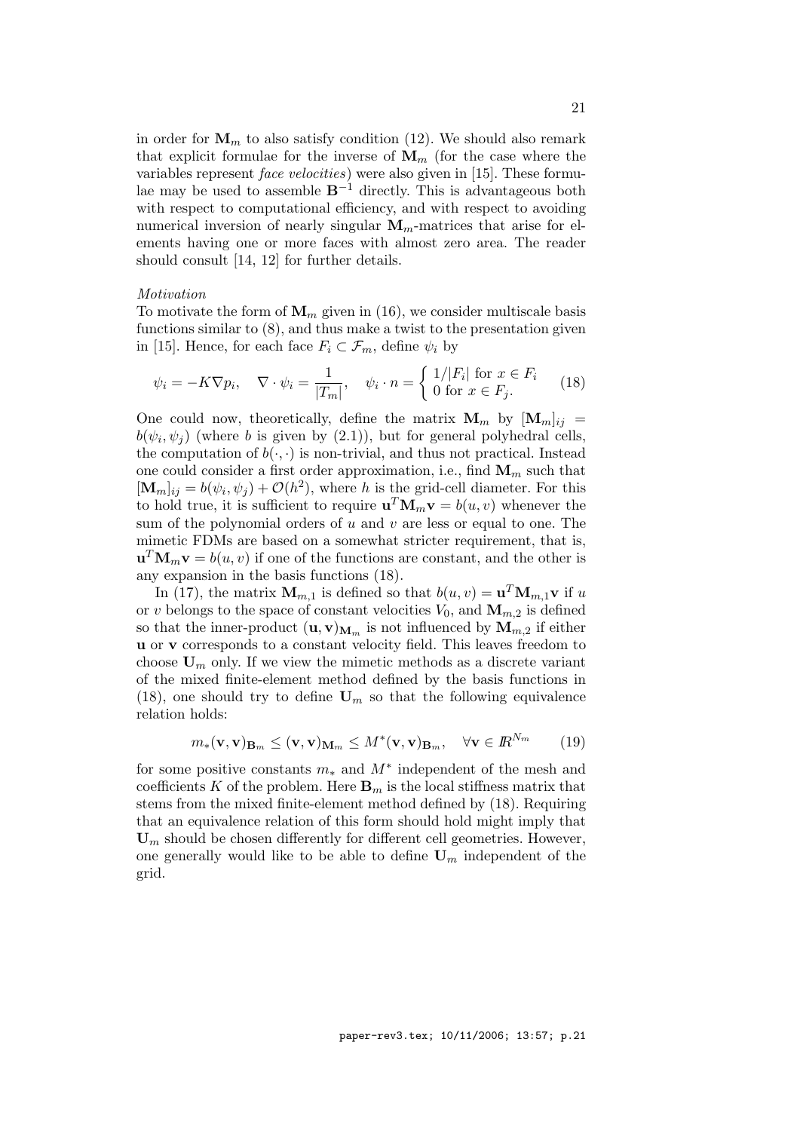in order for  $M_m$  to also satisfy condition (12). We should also remark that explicit formulae for the inverse of  $\mathbf{M}_m$  (for the case where the variables represent face velocities) were also given in [15]. These formulae may be used to assemble  $B^{-1}$  directly. This is advantageous both with respect to computational efficiency, and with respect to avoiding numerical inversion of nearly singular  $M_m$ -matrices that arise for elements having one or more faces with almost zero area. The reader should consult [14, 12] for further details.

#### Motivation

To motivate the form of  $\mathbf{M}_m$  given in (16), we consider multiscale basis functions similar to (8), and thus make a twist to the presentation given in [15]. Hence, for each face  $F_i \subset \mathcal{F}_m$ , define  $\psi_i$  by

$$
\psi_i = -K\nabla p_i, \quad \nabla \cdot \psi_i = \frac{1}{|T_m|}, \quad \psi_i \cdot n = \begin{cases} 1/|F_i| \text{ for } x \in F_i \\ 0 \text{ for } x \in F_j. \end{cases} \tag{18}
$$

One could now, theoretically, define the matrix  $\mathbf{M}_m$  by  $[\mathbf{M}_m]_{ij}$  =  $b(\psi_i, \psi_j)$  (where b is given by (2.1)), but for general polyhedral cells, the computation of  $b(\cdot, \cdot)$  is non-trivial, and thus not practical. Instead one could consider a first order approximation, i.e., find  $\mathbf{M}_m$  such that  $[\mathbf{M}_m]_{ij} = b(\psi_i, \psi_j) + \mathcal{O}(h^2)$ , where h is the grid-cell diameter. For this to hold true, it is sufficient to require  $\mathbf{u}^T \mathbf{M}_m \mathbf{v} = b(u, v)$  whenever the sum of the polynomial orders of  $u$  and  $v$  are less or equal to one. The mimetic FDMs are based on a somewhat stricter requirement, that is,  $\mathbf{u}^T \mathbf{M}_m \mathbf{v} = b(u, v)$  if one of the functions are constant, and the other is any expansion in the basis functions (18).

In (17), the matrix  $\mathbf{M}_{m,1}$  is defined so that  $b(u, v) = \mathbf{u}^T \mathbf{M}_{m,1} \mathbf{v}$  if u or v belongs to the space of constant velocities  $V_0$ , and  $\mathbf{M}_{m,2}$  is defined so that the inner-product  $(\mathbf{u}, \mathbf{v})_{\mathbf{M}_m}$  is not influenced by  $\mathbf{M}_{m,2}$  if either u or v corresponds to a constant velocity field. This leaves freedom to choose  $U_m$  only. If we view the mimetic methods as a discrete variant of the mixed finite-element method defined by the basis functions in (18), one should try to define  $U_m$  so that the following equivalence relation holds:

$$
m_*(\mathbf{v}, \mathbf{v})_{\mathbf{B}_m} \le (\mathbf{v}, \mathbf{v})_{\mathbf{M}_m} \le M^*(\mathbf{v}, \mathbf{v})_{\mathbf{B}_m}, \quad \forall \mathbf{v} \in \mathbb{R}^{N_m} \tag{19}
$$

for some positive constants  $m_*$  and  $M^*$  independent of the mesh and coefficients K of the problem. Here  $\mathbf{B}_m$  is the local stiffness matrix that stems from the mixed finite-element method defined by (18). Requiring that an equivalence relation of this form should hold might imply that  **should be chosen differently for different cell geometries. However,** one generally would like to be able to define  $\mathbf{U}_m$  independent of the grid.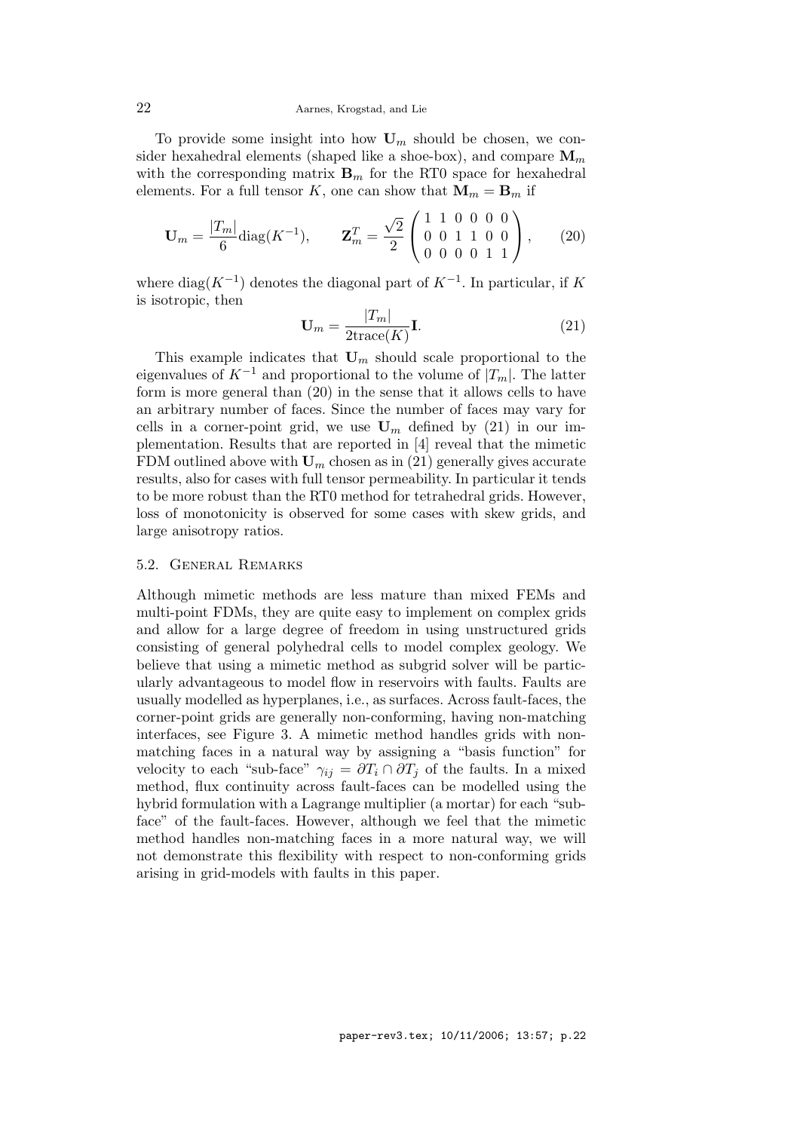To provide some insight into how  $U_m$  should be chosen, we consider hexahedral elements (shaped like a shoe-box), and compare  $\mathbf{M}_m$ with the corresponding matrix  $\mathbf{B}_m$  for the RT0 space for hexahedral elements. For a full tensor K, one can show that  $\mathbf{M}_m = \mathbf{B}_m$  if

$$
\mathbf{U}_m = \frac{|T_m|}{6} \text{diag}(K^{-1}), \qquad \mathbf{Z}_m^T = \frac{\sqrt{2}}{2} \begin{pmatrix} 1 & 1 & 0 & 0 & 0 & 0 \\ 0 & 0 & 1 & 1 & 0 & 0 \\ 0 & 0 & 0 & 1 & 1 \end{pmatrix}, \qquad (20)
$$

where diag( $K^{-1}$ ) denotes the diagonal part of  $K^{-1}$ . In particular, if K is isotropic, then

$$
\mathbf{U}_m = \frac{|T_m|}{2 \text{trace}(K)} \mathbf{I}.
$$
 (21)

This example indicates that  $U_m$  should scale proportional to the eigenvalues of  $K^{-1}$  and proportional to the volume of  $|T_m|$ . The latter form is more general than (20) in the sense that it allows cells to have an arbitrary number of faces. Since the number of faces may vary for cells in a corner-point grid, we use  $U_m$  defined by (21) in our implementation. Results that are reported in [4] reveal that the mimetic FDM outlined above with  $U_m$  chosen as in (21) generally gives accurate results, also for cases with full tensor permeability. In particular it tends to be more robust than the RT0 method for tetrahedral grids. However, loss of monotonicity is observed for some cases with skew grids, and large anisotropy ratios.

## 5.2. General Remarks

Although mimetic methods are less mature than mixed FEMs and multi-point FDMs, they are quite easy to implement on complex grids and allow for a large degree of freedom in using unstructured grids consisting of general polyhedral cells to model complex geology. We believe that using a mimetic method as subgrid solver will be particularly advantageous to model flow in reservoirs with faults. Faults are usually modelled as hyperplanes, i.e., as surfaces. Across fault-faces, the corner-point grids are generally non-conforming, having non-matching interfaces, see Figure 3. A mimetic method handles grids with nonmatching faces in a natural way by assigning a "basis function" for velocity to each "sub-face"  $\gamma_{ij} = \partial T_i \cap \partial T_j$  of the faults. In a mixed method, flux continuity across fault-faces can be modelled using the hybrid formulation with a Lagrange multiplier (a mortar) for each "subface" of the fault-faces. However, although we feel that the mimetic method handles non-matching faces in a more natural way, we will not demonstrate this flexibility with respect to non-conforming grids arising in grid-models with faults in this paper.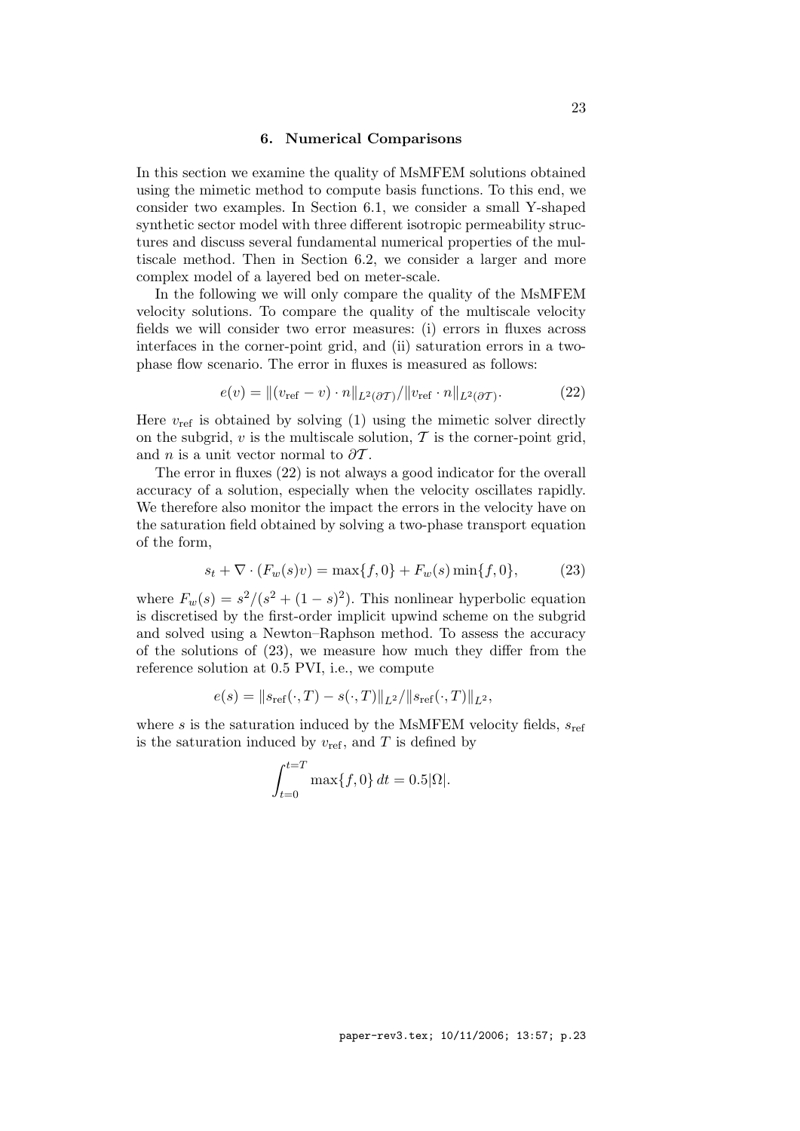## 6. Numerical Comparisons

In this section we examine the quality of MsMFEM solutions obtained using the mimetic method to compute basis functions. To this end, we consider two examples. In Section 6.1, we consider a small Y-shaped synthetic sector model with three different isotropic permeability structures and discuss several fundamental numerical properties of the multiscale method. Then in Section 6.2, we consider a larger and more complex model of a layered bed on meter-scale.

In the following we will only compare the quality of the MsMFEM velocity solutions. To compare the quality of the multiscale velocity fields we will consider two error measures: (i) errors in fluxes across interfaces in the corner-point grid, and (ii) saturation errors in a twophase flow scenario. The error in fluxes is measured as follows:

$$
e(v) = ||(v_{\text{ref}} - v) \cdot n||_{L^2(\partial \mathcal{T})} / ||v_{\text{ref}} \cdot n||_{L^2(\partial \mathcal{T})}.
$$
 (22)

Here  $v_{ref}$  is obtained by solving (1) using the mimetic solver directly on the subgrid,  $v$  is the multiscale solution,  $\mathcal T$  is the corner-point grid, and *n* is a unit vector normal to  $\partial \mathcal{T}$ .

The error in fluxes (22) is not always a good indicator for the overall accuracy of a solution, especially when the velocity oscillates rapidly. We therefore also monitor the impact the errors in the velocity have on the saturation field obtained by solving a two-phase transport equation of the form,

$$
s_t + \nabla \cdot (F_w(s)v) = \max\{f, 0\} + F_w(s)\min\{f, 0\},\tag{23}
$$

where  $F_w(s) = s^2/(s^2 + (1 - s)^2)$ . This nonlinear hyperbolic equation is discretised by the first-order implicit upwind scheme on the subgrid and solved using a Newton–Raphson method. To assess the accuracy of the solutions of (23), we measure how much they differ from the reference solution at 0.5 PVI, i.e., we compute

$$
e(s) = ||s_{\text{ref}}(\cdot, T) - s(\cdot, T)||_{L^2}/||s_{\text{ref}}(\cdot, T)||_{L^2},
$$

where s is the saturation induced by the MsMFEM velocity fields,  $s_{ref}$ is the saturation induced by  $v_{\text{ref}}$ , and T is defined by

$$
\int_{t=0}^{t=T} \max\{f, 0\} dt = 0.5|\Omega|.
$$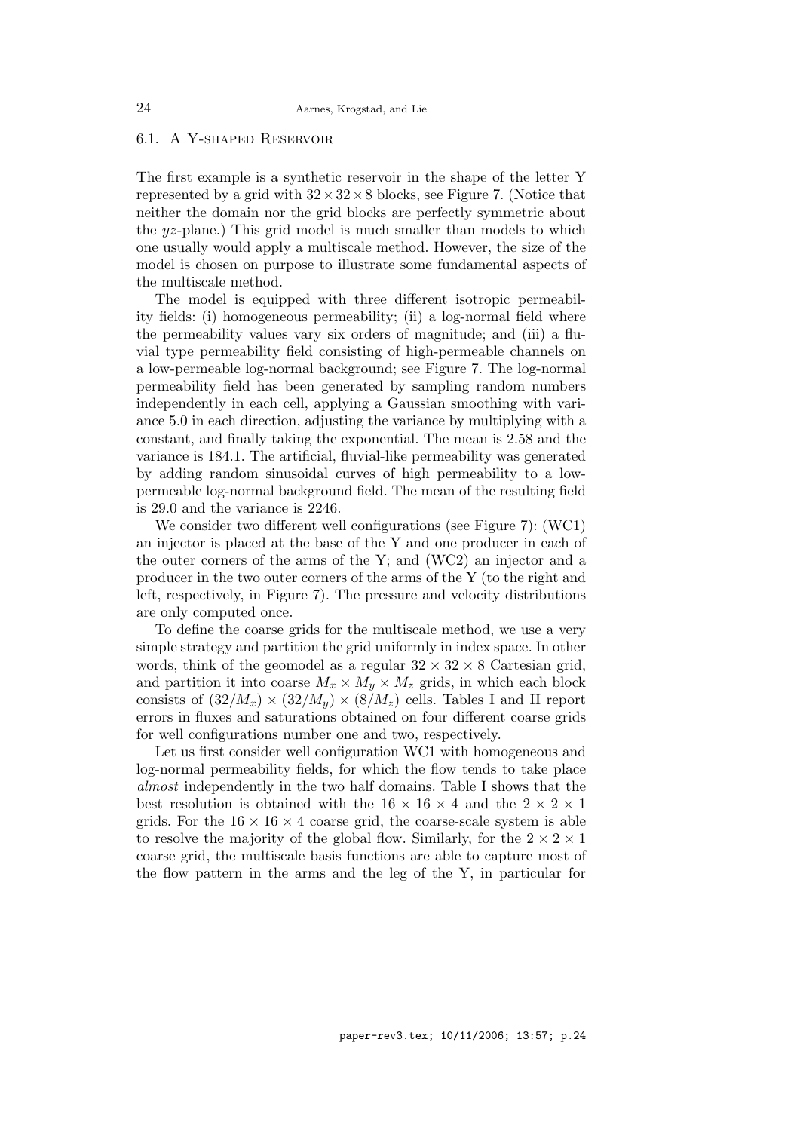# 6.1. A Y-shaped Reservoir

The first example is a synthetic reservoir in the shape of the letter Y represented by a grid with  $32 \times 32 \times 8$  blocks, see Figure 7. (Notice that neither the domain nor the grid blocks are perfectly symmetric about the  $yz$ -plane.) This grid model is much smaller than models to which one usually would apply a multiscale method. However, the size of the model is chosen on purpose to illustrate some fundamental aspects of the multiscale method.

The model is equipped with three different isotropic permeability fields: (i) homogeneous permeability; (ii) a log-normal field where the permeability values vary six orders of magnitude; and (iii) a fluvial type permeability field consisting of high-permeable channels on a low-permeable log-normal background; see Figure 7. The log-normal permeability field has been generated by sampling random numbers independently in each cell, applying a Gaussian smoothing with variance 5.0 in each direction, adjusting the variance by multiplying with a constant, and finally taking the exponential. The mean is 2.58 and the variance is 184.1. The artificial, fluvial-like permeability was generated by adding random sinusoidal curves of high permeability to a lowpermeable log-normal background field. The mean of the resulting field is 29.0 and the variance is 2246.

We consider two different well configurations (see Figure 7): (WC1) an injector is placed at the base of the Y and one producer in each of the outer corners of the arms of the Y; and (WC2) an injector and a producer in the two outer corners of the arms of the Y (to the right and left, respectively, in Figure 7). The pressure and velocity distributions are only computed once.

To define the coarse grids for the multiscale method, we use a very simple strategy and partition the grid uniformly in index space. In other words, think of the geomodel as a regular  $32 \times 32 \times 8$  Cartesian grid, and partition it into coarse  $M_x \times M_y \times M_z$  grids, in which each block consists of  $(32/M_x) \times (32/M_y) \times (8/M_z)$  cells. Tables I and II report errors in fluxes and saturations obtained on four different coarse grids for well configurations number one and two, respectively.

Let us first consider well configuration WC1 with homogeneous and log-normal permeability fields, for which the flow tends to take place almost independently in the two half domains. Table I shows that the best resolution is obtained with the  $16 \times 16 \times 4$  and the  $2 \times 2 \times 1$ grids. For the  $16 \times 16 \times 4$  coarse grid, the coarse-scale system is able to resolve the majority of the global flow. Similarly, for the  $2 \times 2 \times 1$ coarse grid, the multiscale basis functions are able to capture most of the flow pattern in the arms and the leg of the Y, in particular for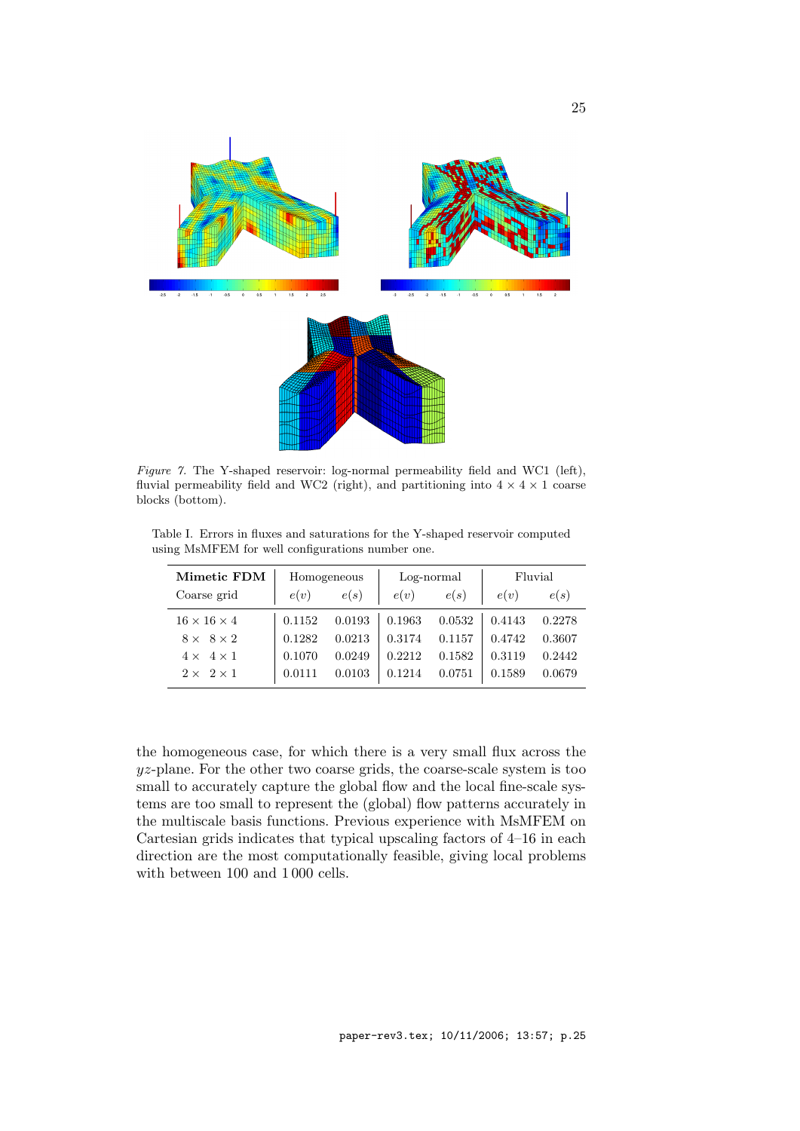

Figure 7. The Y-shaped reservoir: log-normal permeability field and WC1 (left), fluvial permeability field and WC2 (right), and partitioning into  $4 \times 4 \times 1$  coarse blocks (bottom).

Table I. Errors in fluxes and saturations for the Y-shaped reservoir computed using MsMFEM for well configurations number one.

| <b>Mimetic FDM</b>      | Homogeneous |        | $Log-normal$ |        | Fluvial |        |
|-------------------------|-------------|--------|--------------|--------|---------|--------|
| Coarse grid             | e(v)        | e(s)   | e(v)         | e(s)   | e(v)    | e(s)   |
| $16 \times 16 \times 4$ | 0.1152      | 0.0193 | 0.1963       | 0.0532 | 0.4143  | 0.2278 |
| $8 \times 8 \times 2$   | 0.1282      | 0.0213 | 0.3174       | 0.1157 | 0.4742  | 0.3607 |
| $4 \times 4 \times 1$   | 0.1070      | 0.0249 | 0.2212       | 0.1582 | 0.3119  | 0.2442 |
| $2 \times 2 \times 1$   |             | 0.0103 | 0.1214       | 0.0751 | 0.1589  | 0.0679 |

the homogeneous case, for which there is a very small flux across the  $yz$ -plane. For the other two coarse grids, the coarse-scale system is too small to accurately capture the global flow and the local fine-scale systems are too small to represent the (global) flow patterns accurately in the multiscale basis functions. Previous experience with MsMFEM on Cartesian grids indicates that typical upscaling factors of 4–16 in each direction are the most computationally feasible, giving local problems with between 100 and 1 000 cells.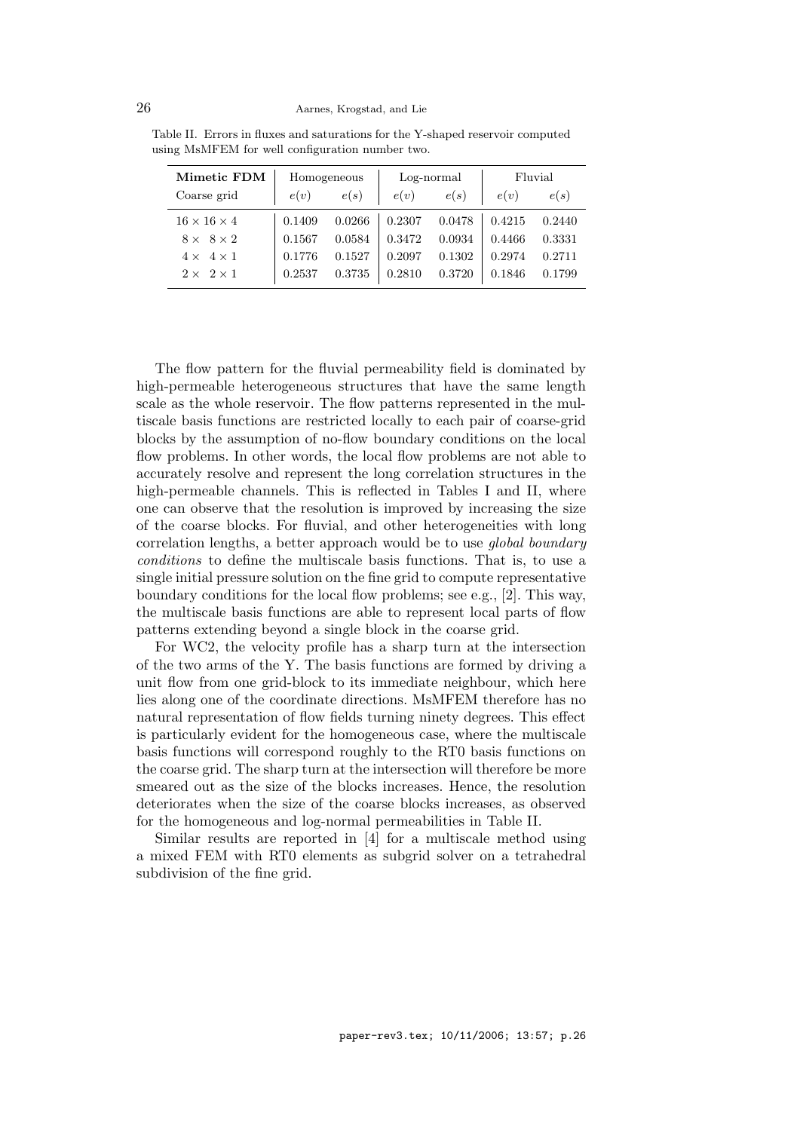| <b>Mimetic FDM</b>      | Homogeneous |        | Log-normal |        | Fluvial |        |
|-------------------------|-------------|--------|------------|--------|---------|--------|
| Coarse grid             | e(v)        | e(s)   | e(v)       | e(s)   | e(v)    | e(s)   |
| $16 \times 16 \times 4$ | 0.1409      | 0.0266 | 0.2307     | 0.0478 | 0.4215  | 0.2440 |
| $8 \times 8 \times 2$   | 0.1567      | 0.0584 | 0.3472     | 0.0934 | 0.4466  | 0.3331 |
| $4 \times 4 \times 1$   | 0.1776      | 0.1527 | 0.2097     | 0.1302 | 0.2974  | 0.2711 |
| $2 \times 2 \times 1$   | 0.2537      | 0.3735 | 0.2810     | 0.3720 | 0.1846  | 0.1799 |

Table II. Errors in fluxes and saturations for the Y-shaped reservoir computed using MsMFEM for well configuration number two.

The flow pattern for the fluvial permeability field is dominated by high-permeable heterogeneous structures that have the same length scale as the whole reservoir. The flow patterns represented in the multiscale basis functions are restricted locally to each pair of coarse-grid blocks by the assumption of no-flow boundary conditions on the local flow problems. In other words, the local flow problems are not able to accurately resolve and represent the long correlation structures in the high-permeable channels. This is reflected in Tables I and II, where one can observe that the resolution is improved by increasing the size of the coarse blocks. For fluvial, and other heterogeneities with long correlation lengths, a better approach would be to use global boundary conditions to define the multiscale basis functions. That is, to use a single initial pressure solution on the fine grid to compute representative boundary conditions for the local flow problems; see e.g., [2]. This way, the multiscale basis functions are able to represent local parts of flow patterns extending beyond a single block in the coarse grid.

For WC2, the velocity profile has a sharp turn at the intersection of the two arms of the Y. The basis functions are formed by driving a unit flow from one grid-block to its immediate neighbour, which here lies along one of the coordinate directions. MsMFEM therefore has no natural representation of flow fields turning ninety degrees. This effect is particularly evident for the homogeneous case, where the multiscale basis functions will correspond roughly to the RT0 basis functions on the coarse grid. The sharp turn at the intersection will therefore be more smeared out as the size of the blocks increases. Hence, the resolution deteriorates when the size of the coarse blocks increases, as observed for the homogeneous and log-normal permeabilities in Table II.

Similar results are reported in [4] for a multiscale method using a mixed FEM with RT0 elements as subgrid solver on a tetrahedral subdivision of the fine grid.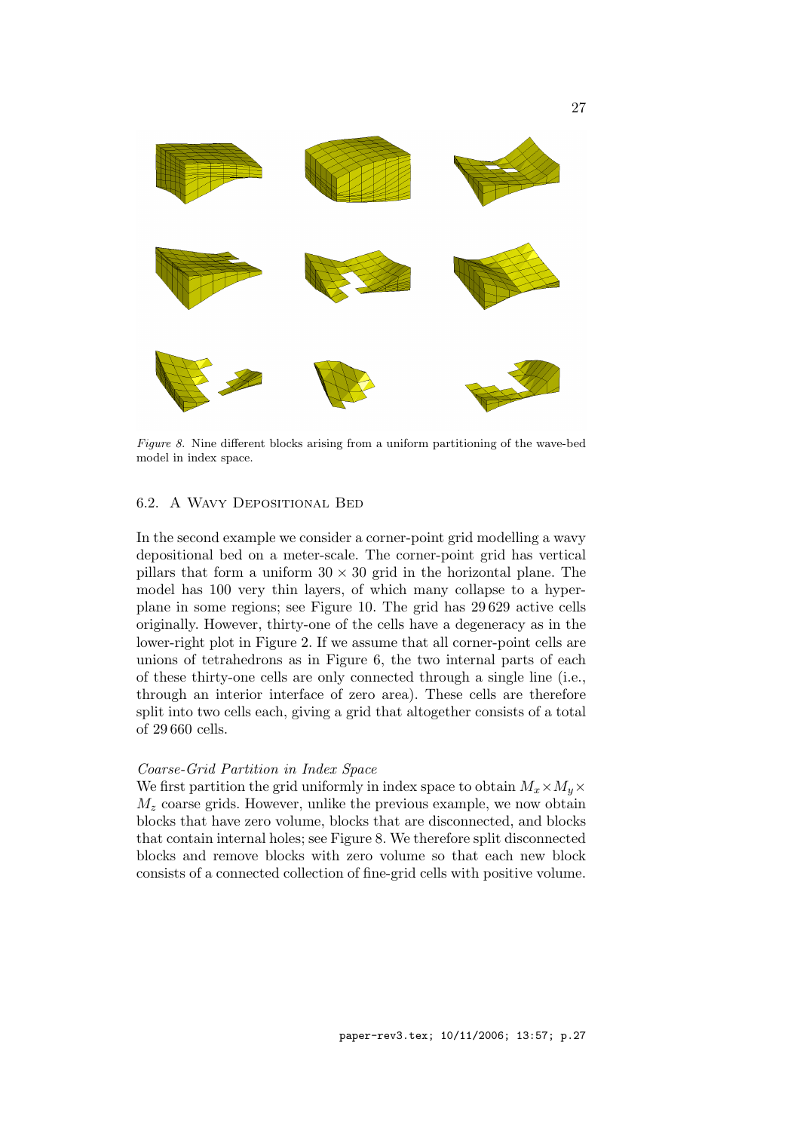

Figure 8. Nine different blocks arising from a uniform partitioning of the wave-bed model in index space.

# 6.2. A Wavy Depositional Bed

In the second example we consider a corner-point grid modelling a wavy depositional bed on a meter-scale. The corner-point grid has vertical pillars that form a uniform  $30 \times 30$  grid in the horizontal plane. The model has 100 very thin layers, of which many collapse to a hyperplane in some regions; see Figure 10. The grid has 29 629 active cells originally. However, thirty-one of the cells have a degeneracy as in the lower-right plot in Figure 2. If we assume that all corner-point cells are unions of tetrahedrons as in Figure 6, the two internal parts of each of these thirty-one cells are only connected through a single line (i.e., through an interior interface of zero area). These cells are therefore split into two cells each, giving a grid that altogether consists of a total of 29 660 cells.

#### Coarse-Grid Partition in Index Space

We first partition the grid uniformly in index space to obtain  $M_x \times M_y \times$  $M_z$  coarse grids. However, unlike the previous example, we now obtain blocks that have zero volume, blocks that are disconnected, and blocks that contain internal holes; see Figure 8. We therefore split disconnected blocks and remove blocks with zero volume so that each new block consists of a connected collection of fine-grid cells with positive volume.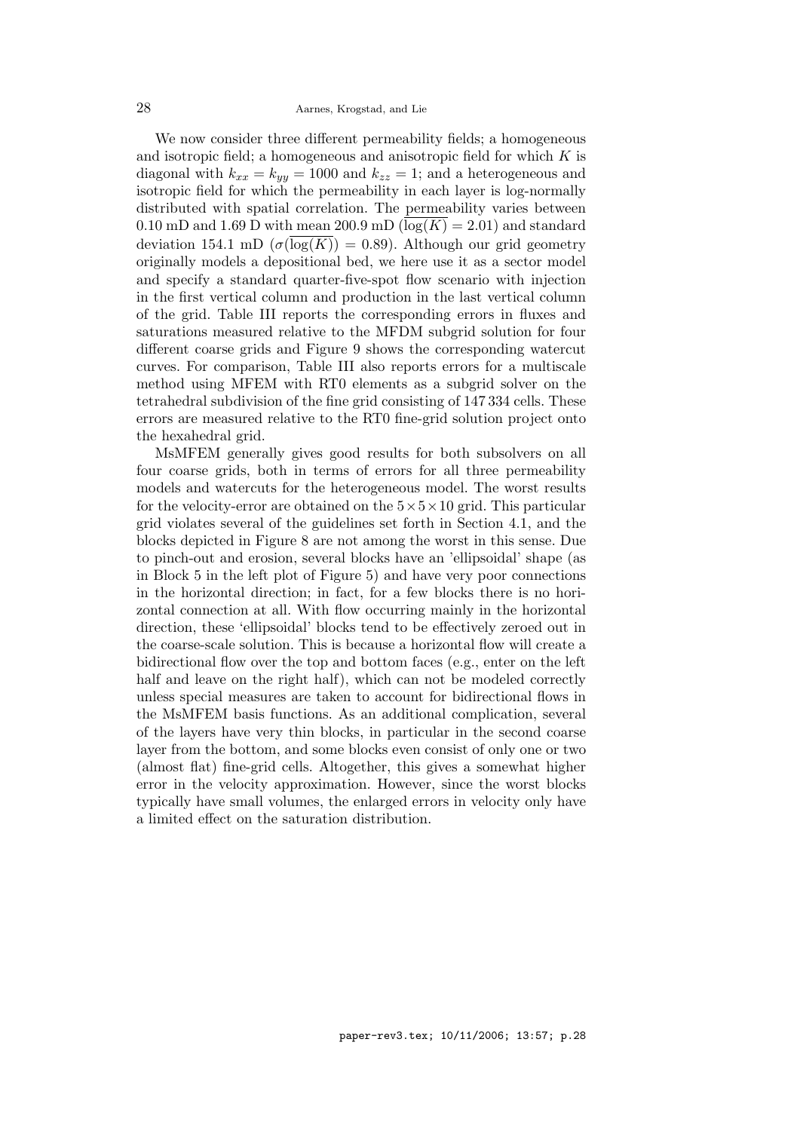28 Aarnes, Krogstad, and Lie

We now consider three different permeability fields; a homogeneous and isotropic field; a homogeneous and anisotropic field for which  $K$  is diagonal with  $k_{xx} = k_{yy} = 1000$  and  $k_{zz} = 1$ ; and a heterogeneous and isotropic field for which the permeability in each layer is log-normally distributed with spatial correlation. The permeability varies between 0.10 mD and 1.69 D with mean 200.9 mD  $(\log(K) = 2.01)$  and standard deviation 154.1 mD  $(\sigma(\log(K)) = 0.89)$ . Although our grid geometry originally models a depositional bed, we here use it as a sector model and specify a standard quarter-five-spot flow scenario with injection in the first vertical column and production in the last vertical column of the grid. Table III reports the corresponding errors in fluxes and saturations measured relative to the MFDM subgrid solution for four different coarse grids and Figure 9 shows the corresponding watercut curves. For comparison, Table III also reports errors for a multiscale method using MFEM with RT0 elements as a subgrid solver on the tetrahedral subdivision of the fine grid consisting of 147 334 cells. These errors are measured relative to the RT0 fine-grid solution project onto the hexahedral grid.

MsMFEM generally gives good results for both subsolvers on all four coarse grids, both in terms of errors for all three permeability models and watercuts for the heterogeneous model. The worst results for the velocity-error are obtained on the  $5 \times 5 \times 10$  grid. This particular grid violates several of the guidelines set forth in Section 4.1, and the blocks depicted in Figure 8 are not among the worst in this sense. Due to pinch-out and erosion, several blocks have an 'ellipsoidal' shape (as in Block 5 in the left plot of Figure 5) and have very poor connections in the horizontal direction; in fact, for a few blocks there is no horizontal connection at all. With flow occurring mainly in the horizontal direction, these 'ellipsoidal' blocks tend to be effectively zeroed out in the coarse-scale solution. This is because a horizontal flow will create a bidirectional flow over the top and bottom faces (e.g., enter on the left half and leave on the right half), which can not be modeled correctly unless special measures are taken to account for bidirectional flows in the MsMFEM basis functions. As an additional complication, several of the layers have very thin blocks, in particular in the second coarse layer from the bottom, and some blocks even consist of only one or two (almost flat) fine-grid cells. Altogether, this gives a somewhat higher error in the velocity approximation. However, since the worst blocks typically have small volumes, the enlarged errors in velocity only have a limited effect on the saturation distribution.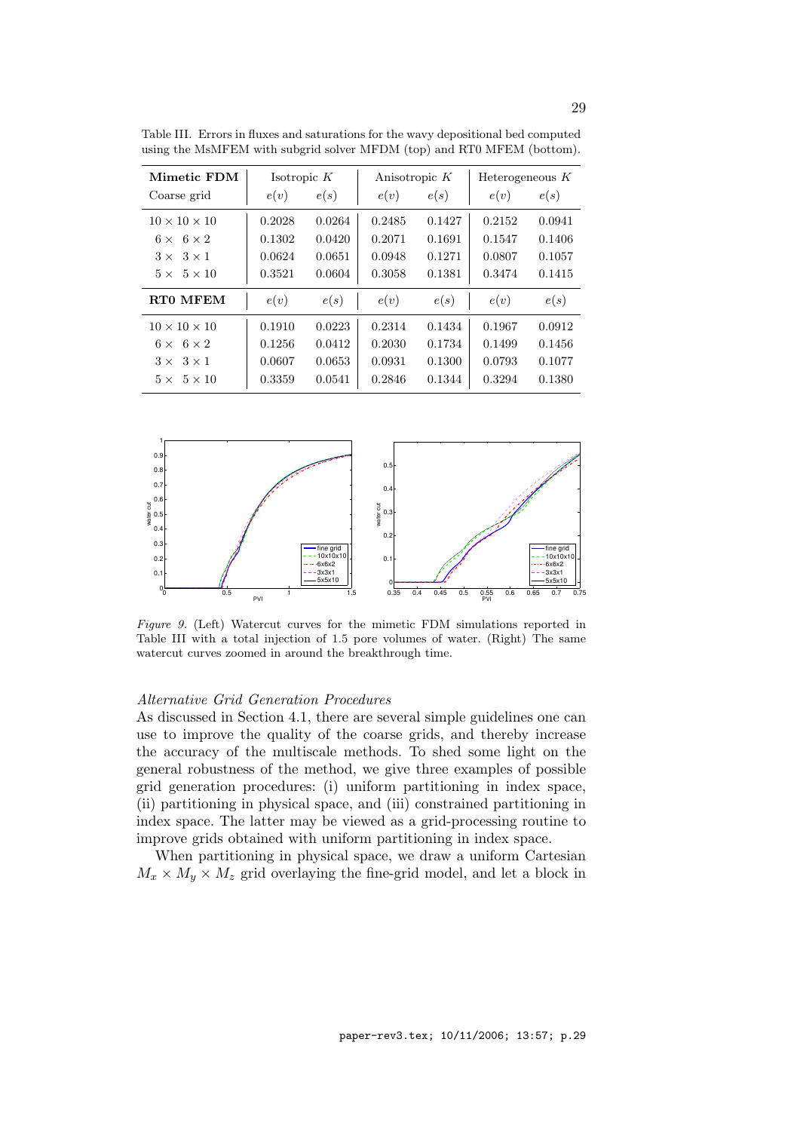| Mimetic FDM                 | Isotropic $K$ |        | Anisotropic $K$ |        | Heterogeneous $K$ |        |
|-----------------------------|---------------|--------|-----------------|--------|-------------------|--------|
| Coarse grid                 | e(v)          | e(s)   | e(v)            | e(s)   | e(v)              | e(s)   |
| $10 \times 10 \times 10$    | 0.2028        | 0.0264 | 0.2485          | 0.1427 | 0.2152            | 0.0941 |
| $6 \times 6 \times 2$       | 0.1302        | 0.0420 | 0.2071          | 0.1691 | 0.1547            | 0.1406 |
| $3 \times$<br>$3 \times 1$  | 0.0624        | 0.0651 | 0.0948          | 0.1271 | 0.0807            | 0.1057 |
| $5 \times 5 \times 10$      | 0.3521        | 0.0604 | 0.3058          | 0.1381 | 0.3474            | 0.1415 |
| RT0 MFEM                    | e(v)          | e(s)   | e(v)            | e(s)   | e(v)              | e(s)   |
| $10 \times 10 \times 10$    | 0.1910        | 0.0223 | 0.2314          | 0.1434 | 0.1967            | 0.0912 |
| $6 \times 6 \times 2$       | 0.1256        | 0.0412 | 0.2030          | 0.1734 | 0.1499            | 0.1456 |
| $3 \times 1$<br>$3 \times$  | 0.0607        | 0.0653 | 0.0931          | 0.1300 | 0.0793            | 0.1077 |
| $5 \times 10$<br>$5 \times$ | 0.3359        | 0.0541 | 0.2846          | 0.1344 | 0.3294            | 0.1380 |

Table III. Errors in fluxes and saturations for the wavy depositional bed computed using the MsMFEM with subgrid solver MFDM (top) and RT0 MFEM (bottom).



Figure 9. (Left) Watercut curves for the mimetic FDM simulations reported in Table III with a total injection of 1.5 pore volumes of water. (Right) The same watercut curves zoomed in around the breakthrough time.

#### Alternative Grid Generation Procedures

As discussed in Section 4.1, there are several simple guidelines one can use to improve the quality of the coarse grids, and thereby increase the accuracy of the multiscale methods. To shed some light on the general robustness of the method, we give three examples of possible grid generation procedures: (i) uniform partitioning in index space, (ii) partitioning in physical space, and (iii) constrained partitioning in index space. The latter may be viewed as a grid-processing routine to improve grids obtained with uniform partitioning in index space.

When partitioning in physical space, we draw a uniform Cartesian  $M_x \times M_y \times M_z$  grid overlaying the fine-grid model, and let a block in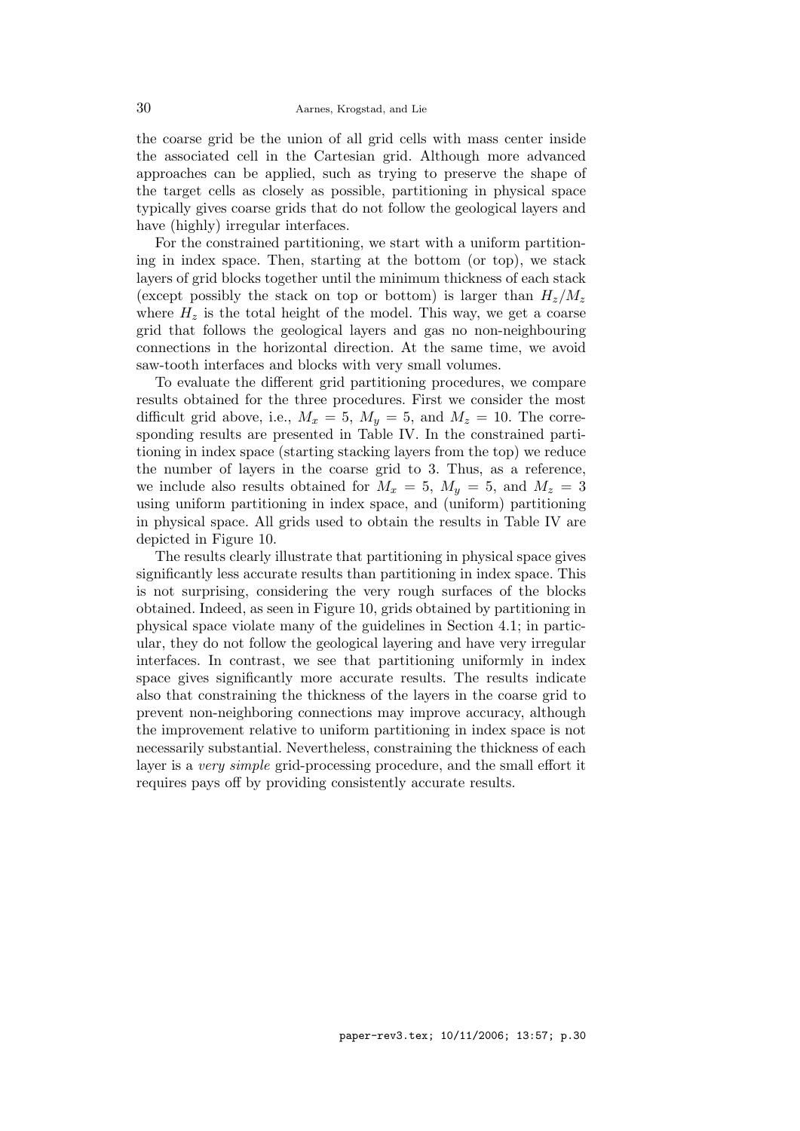the coarse grid be the union of all grid cells with mass center inside the associated cell in the Cartesian grid. Although more advanced approaches can be applied, such as trying to preserve the shape of the target cells as closely as possible, partitioning in physical space typically gives coarse grids that do not follow the geological layers and have (highly) irregular interfaces.

For the constrained partitioning, we start with a uniform partitioning in index space. Then, starting at the bottom (or top), we stack layers of grid blocks together until the minimum thickness of each stack (except possibly the stack on top or bottom) is larger than  $H_z/M_z$ where  $H<sub>z</sub>$  is the total height of the model. This way, we get a coarse grid that follows the geological layers and gas no non-neighbouring connections in the horizontal direction. At the same time, we avoid saw-tooth interfaces and blocks with very small volumes.

To evaluate the different grid partitioning procedures, we compare results obtained for the three procedures. First we consider the most difficult grid above, i.e.,  $M_x = 5$ ,  $M_y = 5$ , and  $M_z = 10$ . The corresponding results are presented in Table IV. In the constrained partitioning in index space (starting stacking layers from the top) we reduce the number of layers in the coarse grid to 3. Thus, as a reference, we include also results obtained for  $M_x = 5$ ,  $M_y = 5$ , and  $M_z = 3$ using uniform partitioning in index space, and (uniform) partitioning in physical space. All grids used to obtain the results in Table IV are depicted in Figure 10.

The results clearly illustrate that partitioning in physical space gives significantly less accurate results than partitioning in index space. This is not surprising, considering the very rough surfaces of the blocks obtained. Indeed, as seen in Figure 10, grids obtained by partitioning in physical space violate many of the guidelines in Section 4.1; in particular, they do not follow the geological layering and have very irregular interfaces. In contrast, we see that partitioning uniformly in index space gives significantly more accurate results. The results indicate also that constraining the thickness of the layers in the coarse grid to prevent non-neighboring connections may improve accuracy, although the improvement relative to uniform partitioning in index space is not necessarily substantial. Nevertheless, constraining the thickness of each layer is a very simple grid-processing procedure, and the small effort it requires pays off by providing consistently accurate results.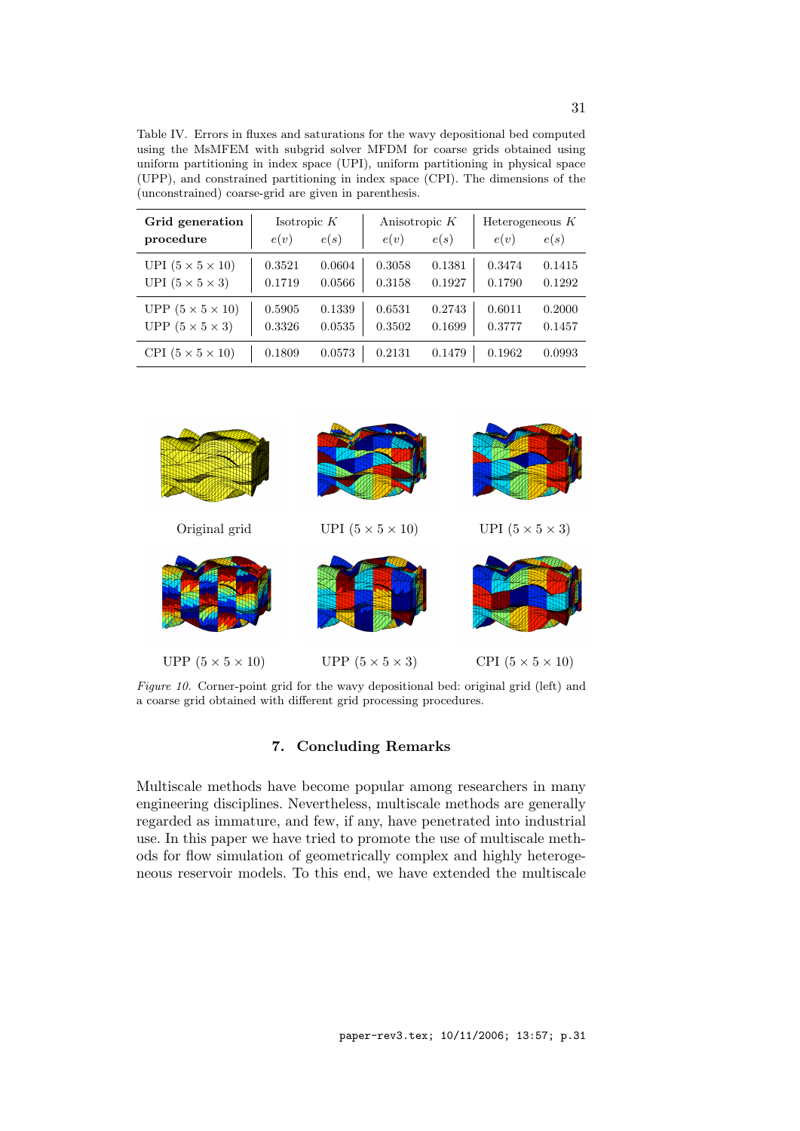Table IV. Errors in fluxes and saturations for the wavy depositional bed computed using the MsMFEM with subgrid solver MFDM for coarse grids obtained using uniform partitioning in index space (UPI), uniform partitioning in physical space (UPP), and constrained partitioning in index space (CPI). The dimensions of the (unconstrained) coarse-grid are given in parenthesis.

| Grid generation<br>procedure | Isotropic $K$<br>e(v) | e(s)   | Anisotropic $K$<br>e(v) | e(s)   | Heterogeneous $K$<br>e(v) | e(s)   |
|------------------------------|-----------------------|--------|-------------------------|--------|---------------------------|--------|
| UPI $(5 \times 5 \times 10)$ | 0.3521                | 0.0604 | 0.3058                  | 0.1381 | 0.3474                    | 0.1415 |
| UPI $(5 \times 5 \times 3)$  | 0.1719                | 0.0566 | 0.3158                  | 0.1927 | 0.1790                    | 0.1292 |
| UPP $(5 \times 5 \times 10)$ | 0.5905                | 0.1339 | 0.6531                  | 0.2743 | 0.6011                    | 0.2000 |
| UPP $(5 \times 5 \times 3)$  | 0.3326                | 0.0535 | 0.3502                  | 0.1699 | 0.3777                    | 0.1457 |
| CPI $(5 \times 5 \times 10)$ | 0.1809                | 0.0573 | 0.2131                  | 0.1479 | 0.1962                    | 0.0993 |



Figure 10. Corner-point grid for the wavy depositional bed: original grid (left) and a coarse grid obtained with different grid processing procedures.

# 7. Concluding Remarks

Multiscale methods have become popular among researchers in many engineering disciplines. Nevertheless, multiscale methods are generally regarded as immature, and few, if any, have penetrated into industrial use. In this paper we have tried to promote the use of multiscale methods for flow simulation of geometrically complex and highly heterogeneous reservoir models. To this end, we have extended the multiscale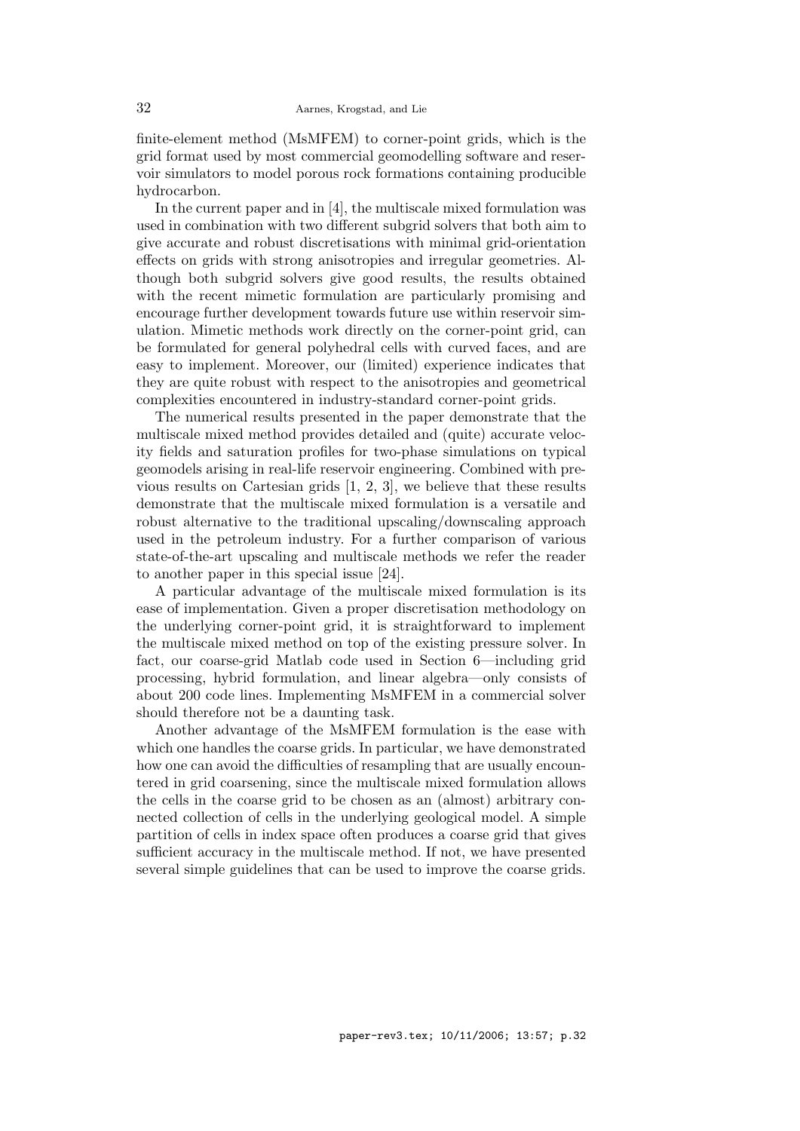finite-element method (MsMFEM) to corner-point grids, which is the grid format used by most commercial geomodelling software and reservoir simulators to model porous rock formations containing producible hydrocarbon.

In the current paper and in [4], the multiscale mixed formulation was used in combination with two different subgrid solvers that both aim to give accurate and robust discretisations with minimal grid-orientation effects on grids with strong anisotropies and irregular geometries. Although both subgrid solvers give good results, the results obtained with the recent mimetic formulation are particularly promising and encourage further development towards future use within reservoir simulation. Mimetic methods work directly on the corner-point grid, can be formulated for general polyhedral cells with curved faces, and are easy to implement. Moreover, our (limited) experience indicates that they are quite robust with respect to the anisotropies and geometrical complexities encountered in industry-standard corner-point grids.

The numerical results presented in the paper demonstrate that the multiscale mixed method provides detailed and (quite) accurate velocity fields and saturation profiles for two-phase simulations on typical geomodels arising in real-life reservoir engineering. Combined with previous results on Cartesian grids [1, 2, 3], we believe that these results demonstrate that the multiscale mixed formulation is a versatile and robust alternative to the traditional upscaling/downscaling approach used in the petroleum industry. For a further comparison of various state-of-the-art upscaling and multiscale methods we refer the reader to another paper in this special issue [24].

A particular advantage of the multiscale mixed formulation is its ease of implementation. Given a proper discretisation methodology on the underlying corner-point grid, it is straightforward to implement the multiscale mixed method on top of the existing pressure solver. In fact, our coarse-grid Matlab code used in Section 6—including grid processing, hybrid formulation, and linear algebra—only consists of about 200 code lines. Implementing MsMFEM in a commercial solver should therefore not be a daunting task.

Another advantage of the MsMFEM formulation is the ease with which one handles the coarse grids. In particular, we have demonstrated how one can avoid the difficulties of resampling that are usually encountered in grid coarsening, since the multiscale mixed formulation allows the cells in the coarse grid to be chosen as an (almost) arbitrary connected collection of cells in the underlying geological model. A simple partition of cells in index space often produces a coarse grid that gives sufficient accuracy in the multiscale method. If not, we have presented several simple guidelines that can be used to improve the coarse grids.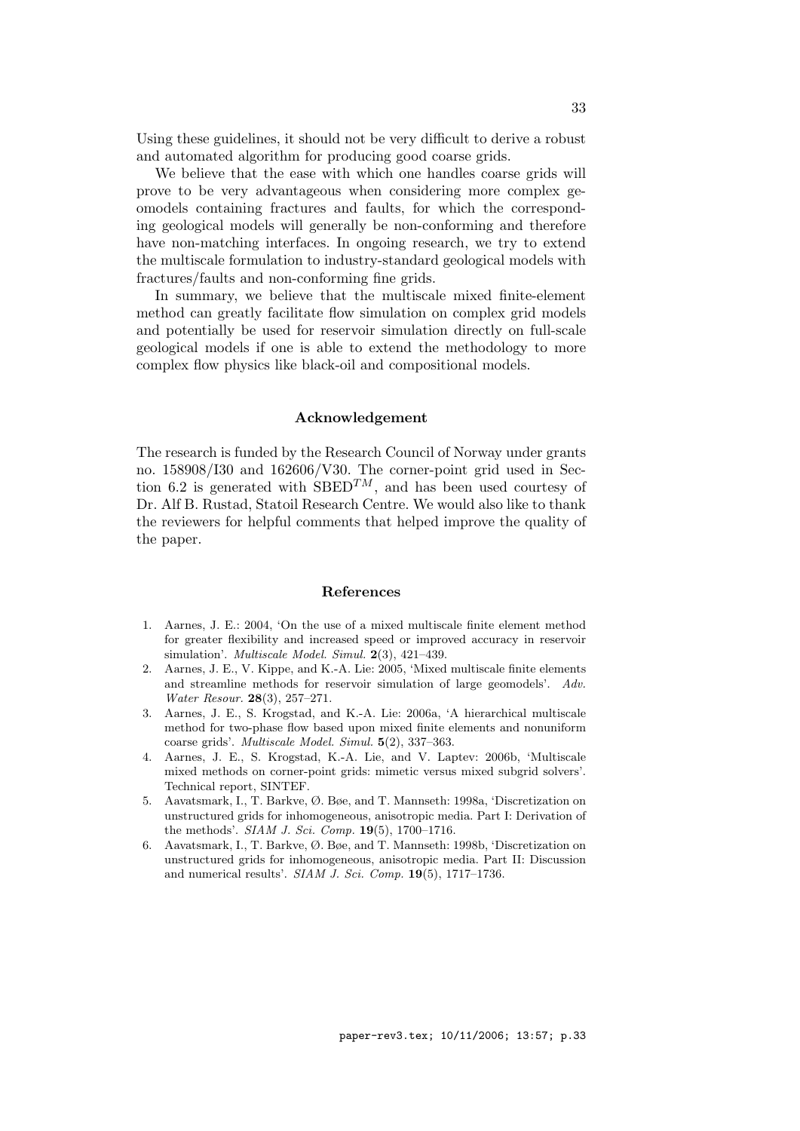Using these guidelines, it should not be very difficult to derive a robust and automated algorithm for producing good coarse grids.

We believe that the ease with which one handles coarse grids will prove to be very advantageous when considering more complex geomodels containing fractures and faults, for which the corresponding geological models will generally be non-conforming and therefore have non-matching interfaces. In ongoing research, we try to extend the multiscale formulation to industry-standard geological models with fractures/faults and non-conforming fine grids.

In summary, we believe that the multiscale mixed finite-element method can greatly facilitate flow simulation on complex grid models and potentially be used for reservoir simulation directly on full-scale geological models if one is able to extend the methodology to more complex flow physics like black-oil and compositional models.

# Acknowledgement

The research is funded by the Research Council of Norway under grants no. 158908/I30 and 162606/V30. The corner-point grid used in Section 6.2 is generated with  $SBED^{TM}$ , and has been used courtesy of Dr. Alf B. Rustad, Statoil Research Centre. We would also like to thank the reviewers for helpful comments that helped improve the quality of the paper.

#### References

- 1. Aarnes, J. E.: 2004, 'On the use of a mixed multiscale finite element method for greater flexibility and increased speed or improved accuracy in reservoir simulation'. Multiscale Model. Simul. 2(3), 421–439.
- 2. Aarnes, J. E., V. Kippe, and K.-A. Lie: 2005, 'Mixed multiscale finite elements and streamline methods for reservoir simulation of large geomodels'. Adv. Water Resour. 28(3), 257–271.
- 3. Aarnes, J. E., S. Krogstad, and K.-A. Lie: 2006a, 'A hierarchical multiscale method for two-phase flow based upon mixed finite elements and nonuniform coarse grids'. Multiscale Model. Simul. 5(2), 337–363.
- 4. Aarnes, J. E., S. Krogstad, K.-A. Lie, and V. Laptev: 2006b, 'Multiscale mixed methods on corner-point grids: mimetic versus mixed subgrid solvers'. Technical report, SINTEF.
- 5. Aavatsmark, I., T. Barkve, Ø. Bøe, and T. Mannseth: 1998a, 'Discretization on unstructured grids for inhomogeneous, anisotropic media. Part I: Derivation of the methods'. SIAM J. Sci. Comp. 19(5), 1700–1716.
- 6. Aavatsmark, I., T. Barkve, Ø. Bøe, and T. Mannseth: 1998b, 'Discretization on unstructured grids for inhomogeneous, anisotropic media. Part II: Discussion and numerical results'. SIAM J. Sci. Comp. 19(5), 1717-1736.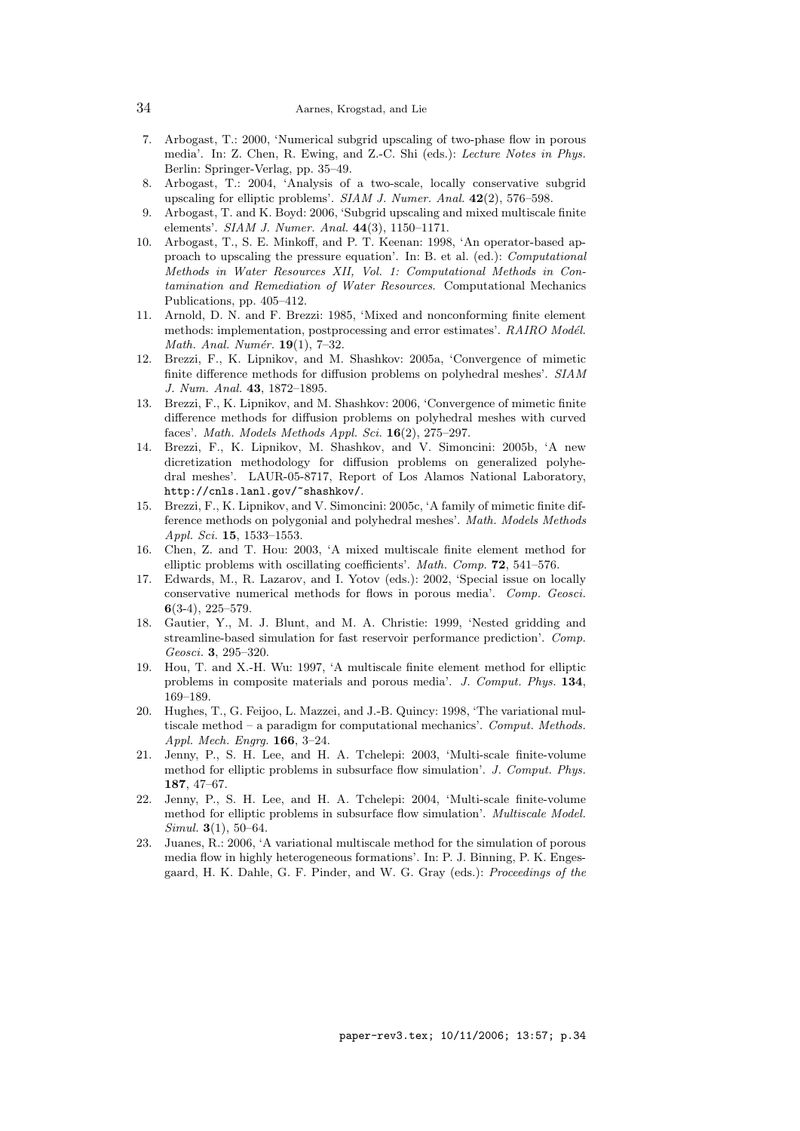- 7. Arbogast, T.: 2000, 'Numerical subgrid upscaling of two-phase flow in porous media'. In: Z. Chen, R. Ewing, and Z.-C. Shi (eds.): Lecture Notes in Phys. Berlin: Springer-Verlag, pp. 35–49.
- 8. Arbogast, T.: 2004, 'Analysis of a two-scale, locally conservative subgrid upscaling for elliptic problems'. SIAM J. Numer. Anal. 42(2), 576–598.
- 9. Arbogast, T. and K. Boyd: 2006, 'Subgrid upscaling and mixed multiscale finite elements'. SIAM J. Numer. Anal. 44(3), 1150–1171.
- 10. Arbogast, T., S. E. Minkoff, and P. T. Keenan: 1998, 'An operator-based approach to upscaling the pressure equation'. In: B. et al. (ed.): Computational Methods in Water Resources XII, Vol. 1: Computational Methods in Contamination and Remediation of Water Resources. Computational Mechanics Publications, pp. 405–412.
- 11. Arnold, D. N. and F. Brezzi: 1985, 'Mixed and nonconforming finite element methods: implementation, postprocessing and error estimates'. RAIRO Modél. Math. Anal. Numér.  $19(1)$ , 7-32.
- 12. Brezzi, F., K. Lipnikov, and M. Shashkov: 2005a, 'Convergence of mimetic finite difference methods for diffusion problems on polyhedral meshes'. SIAM J. Num. Anal. 43, 1872–1895.
- 13. Brezzi, F., K. Lipnikov, and M. Shashkov: 2006, 'Convergence of mimetic finite difference methods for diffusion problems on polyhedral meshes with curved faces'. Math. Models Methods Appl. Sci.  $16(2)$ , 275-297.
- 14. Brezzi, F., K. Lipnikov, M. Shashkov, and V. Simoncini: 2005b, 'A new dicretization methodology for diffusion problems on generalized polyhedral meshes'. LAUR-05-8717, Report of Los Alamos National Laboratory, http://cnls.lanl.gov/~shashkov/.
- 15. Brezzi, F., K. Lipnikov, and V. Simoncini: 2005c, 'A family of mimetic finite difference methods on polygonial and polyhedral meshes'. Math. Models Methods Appl. Sci. 15, 1533–1553.
- 16. Chen, Z. and T. Hou: 2003, 'A mixed multiscale finite element method for elliptic problems with oscillating coefficients'. Math. Comp. 72, 541–576.
- 17. Edwards, M., R. Lazarov, and I. Yotov (eds.): 2002, 'Special issue on locally conservative numerical methods for flows in porous media'. Comp. Geosci. 6(3-4), 225–579.
- 18. Gautier, Y., M. J. Blunt, and M. A. Christie: 1999, 'Nested gridding and streamline-based simulation for fast reservoir performance prediction'. Comp. Geosci. 3, 295–320.
- 19. Hou, T. and X.-H. Wu: 1997, 'A multiscale finite element method for elliptic problems in composite materials and porous media'. J. Comput. Phys. 134, 169–189.
- 20. Hughes, T., G. Feijoo, L. Mazzei, and J.-B. Quincy: 1998, 'The variational multiscale method – a paradigm for computational mechanics'. Comput. Methods. Appl. Mech. Engrg. 166, 3–24.
- 21. Jenny, P., S. H. Lee, and H. A. Tchelepi: 2003, 'Multi-scale finite-volume method for elliptic problems in subsurface flow simulation'. J. Comput. Phys. 187, 47–67.
- 22. Jenny, P., S. H. Lee, and H. A. Tchelepi: 2004, 'Multi-scale finite-volume method for elliptic problems in subsurface flow simulation'. Multiscale Model. Simul. 3(1), 50–64.
- 23. Juanes, R.: 2006, 'A variational multiscale method for the simulation of porous media flow in highly heterogeneous formations'. In: P. J. Binning, P. K. Engesgaard, H. K. Dahle, G. F. Pinder, and W. G. Gray (eds.): Proceedings of the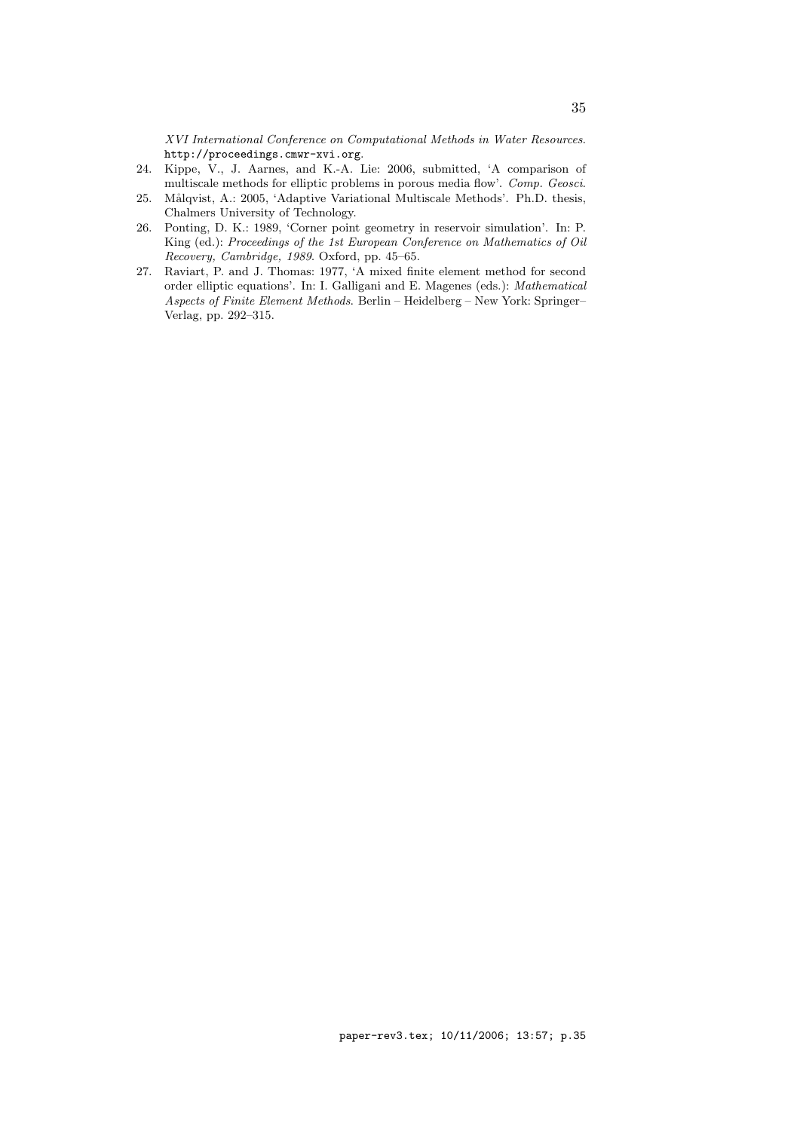XVI International Conference on Computational Methods in Water Resources. http://proceedings.cmwr-xvi.org.

- 24. Kippe, V., J. Aarnes, and K.-A. Lie: 2006, submitted, 'A comparison of multiscale methods for elliptic problems in porous media flow'. Comp. Geosci.
- 25. Målqvist, A.: 2005, 'Adaptive Variational Multiscale Methods'. Ph.D. thesis, Chalmers University of Technology.
- 26. Ponting, D. K.: 1989, 'Corner point geometry in reservoir simulation'. In: P. King (ed.): Proceedings of the 1st European Conference on Mathematics of Oil Recovery, Cambridge, 1989. Oxford, pp. 45–65.
- 27. Raviart, P. and J. Thomas: 1977, 'A mixed finite element method for second order elliptic equations'. In: I. Galligani and E. Magenes (eds.): Mathematical Aspects of Finite Element Methods. Berlin – Heidelberg – New York: Springer– Verlag, pp. 292–315.